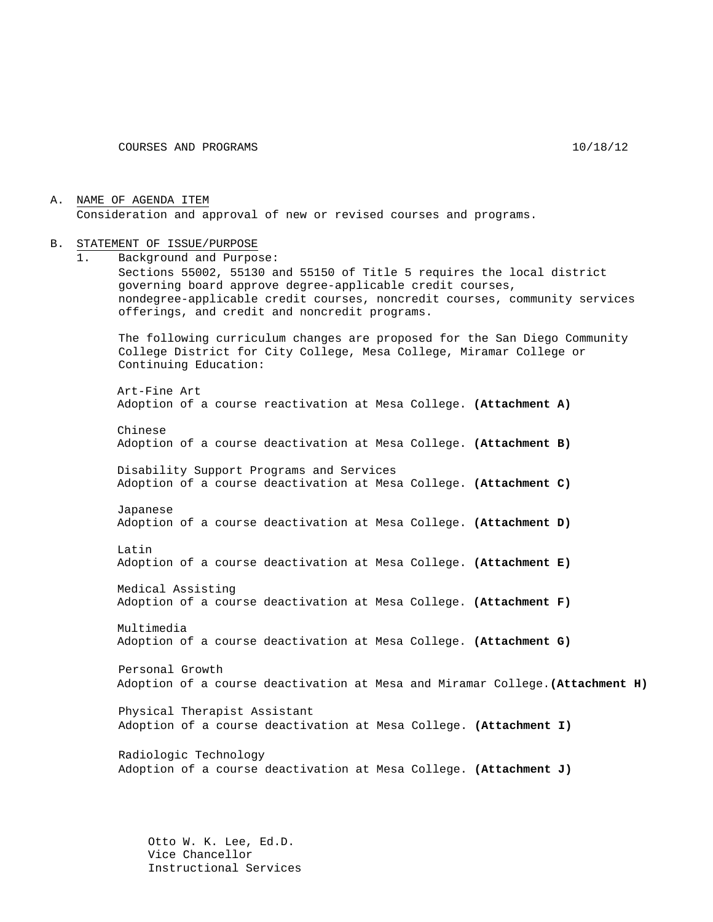A. NAME OF AGENDA ITEM Consideration and approval of new or revised courses and programs.

#### B. STATEMENT OF ISSUE/PURPOSE

1. Background and Purpose: Sections 55002, 55130 and 55150 of Title 5 requires the local district governing board approve degree-applicable credit courses, nondegree-applicable credit courses, noncredit courses, community services offerings, and credit and noncredit programs. The following curriculum changes are proposed for the San Diego Community College District for City College, Mesa College, Miramar College or Continuing Education: Art-Fine Art Adoption of a course reactivation at Mesa College. **(Attachment A)** Chinese Adoption of a course deactivation at Mesa College. **(Attachment B)** Disability Support Programs and Services Adoption of a course deactivation at Mesa College. **(Attachment C)** Japanese Adoption of a course deactivation at Mesa College. **(Attachment D)** Latin Adoption of a course deactivation at Mesa College. **(Attachment E)** Medical Assisting Adoption of a course deactivation at Mesa College. **(Attachment F)** Multimedia Adoption of a course deactivation at Mesa College. **(Attachment G)** Personal Growth Adoption of a course deactivation at Mesa and Miramar College.**(Attachment H)** Physical Therapist Assistant Adoption of a course deactivation at Mesa College. **(Attachment I)** Radiologic Technology Adoption of a course deactivation at Mesa College. **(Attachment J)**

> Otto W. K. Lee, Ed.D. Vice Chancellor Instructional Services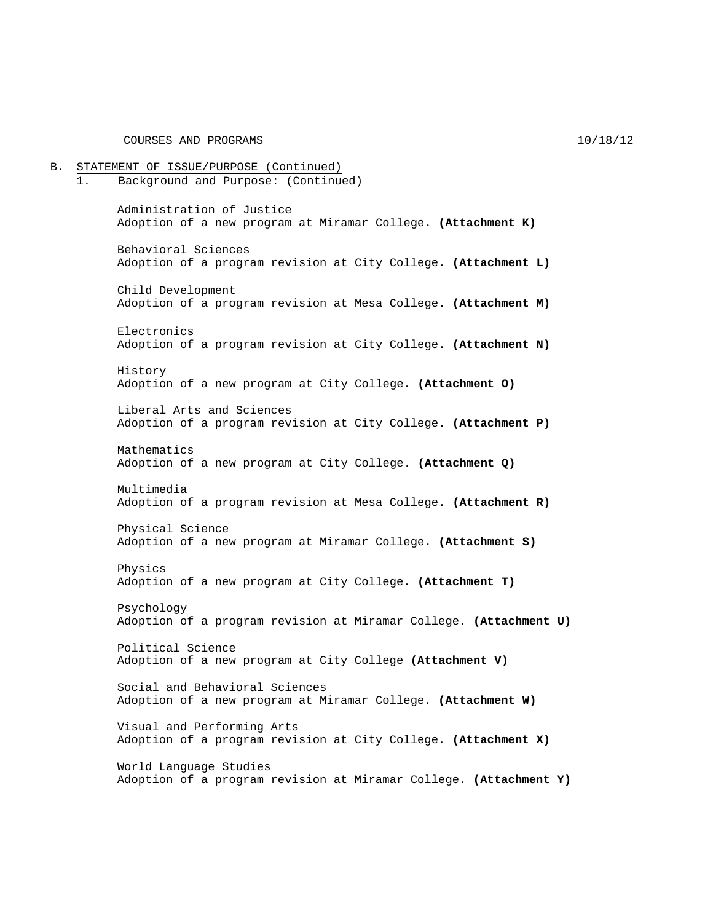B. STATEMENT OF ISSUE/PURPOSE (Continued) 1. Background and Purpose: (Continued) Administration of Justice Adoption of a new program at Miramar College. **(Attachment K)** Behavioral Sciences Adoption of a program revision at City College. **(Attachment L)** Child Development Adoption of a program revision at Mesa College. **(Attachment M)** Electronics Adoption of a program revision at City College. **(Attachment N)** History Adoption of a new program at City College. **(Attachment O)** Liberal Arts and Sciences Adoption of a program revision at City College. **(Attachment P)** Mathematics Adoption of a new program at City College. **(Attachment Q)** Multimedia Adoption of a program revision at Mesa College. **(Attachment R)** Physical Science Adoption of a new program at Miramar College. **(Attachment S)** Physics Adoption of a new program at City College. **(Attachment T)** Psychology Adoption of a program revision at Miramar College. **(Attachment U)** Political Science Adoption of a new program at City College **(Attachment V)** Social and Behavioral Sciences Adoption of a new program at Miramar College. **(Attachment W)** Visual and Performing Arts Adoption of a program revision at City College. **(Attachment X)** World Language Studies Adoption of a program revision at Miramar College. **(Attachment Y)**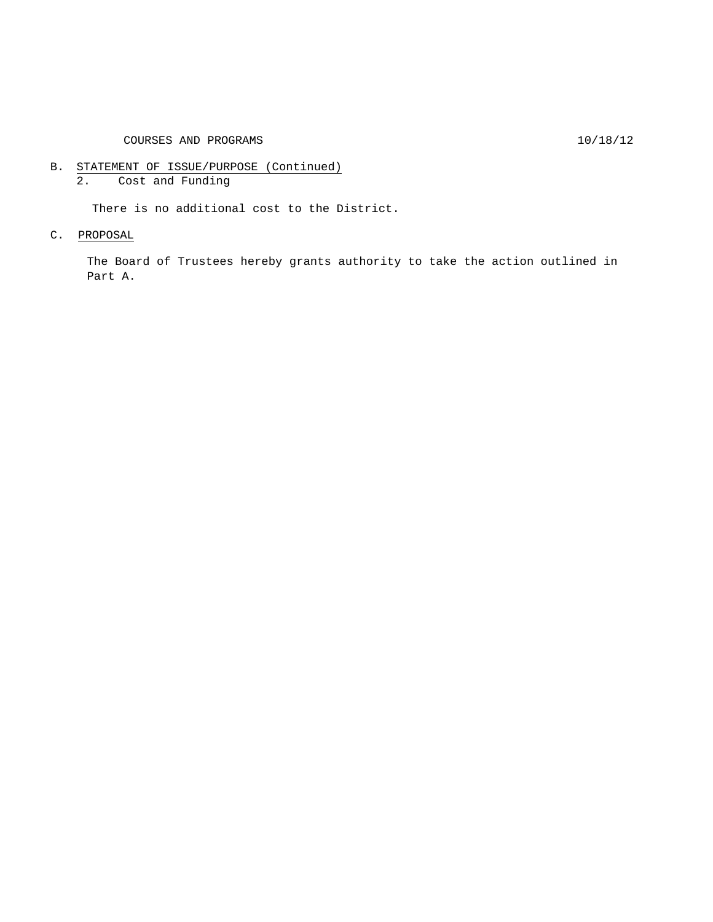COURSES AND PROGRAMS 10/18/12

- B. STATEMENT OF ISSUE/PURPOSE (Continued)
	- 2. Cost and Funding

There is no additional cost to the District.

C. PROPOSAL

The Board of Trustees hereby grants authority to take the action outlined in Part A.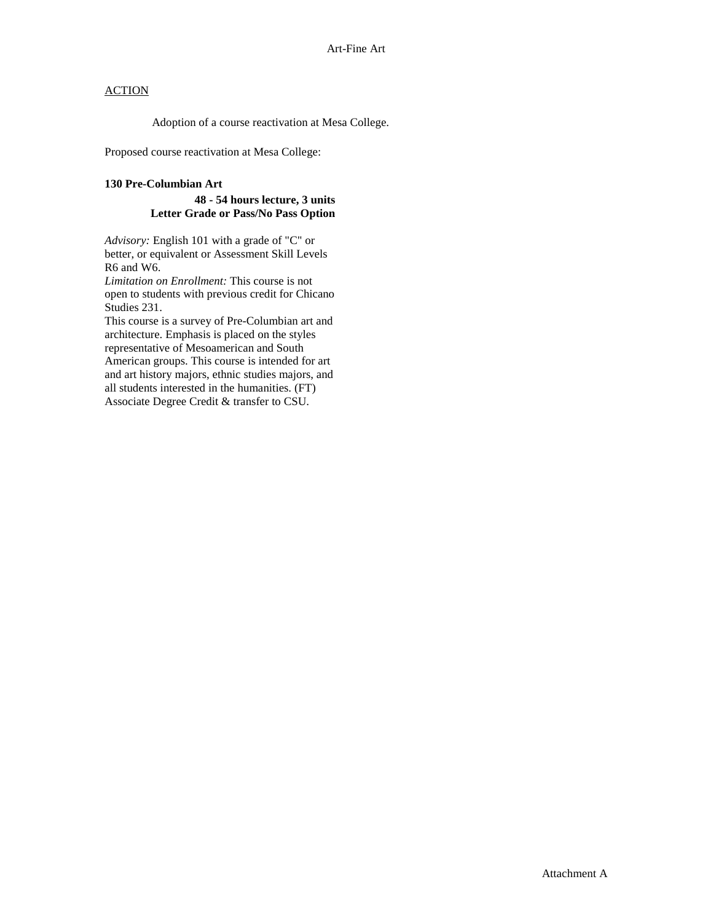Adoption of a course reactivation at Mesa College.

Proposed course reactivation at Mesa College:

#### **130 Pre-Columbian Art**

#### **48 - 54 hours lecture, 3 units Letter Grade or Pass/No Pass Option**

*Advisory:* English 101 with a grade of "C" or better, or equivalent or Assessment Skill Levels R6 and W6.

*Limitation on Enrollment:* This course is not open to students with previous credit for Chicano Studies 231.

This course is a survey of Pre-Columbian art and architecture. Emphasis is placed on the styles representative of Mesoamerican and South American groups. This course is intended for art and art history majors, ethnic studies majors, and all students interested in the humanities. (FT) Associate Degree Credit & transfer to CSU.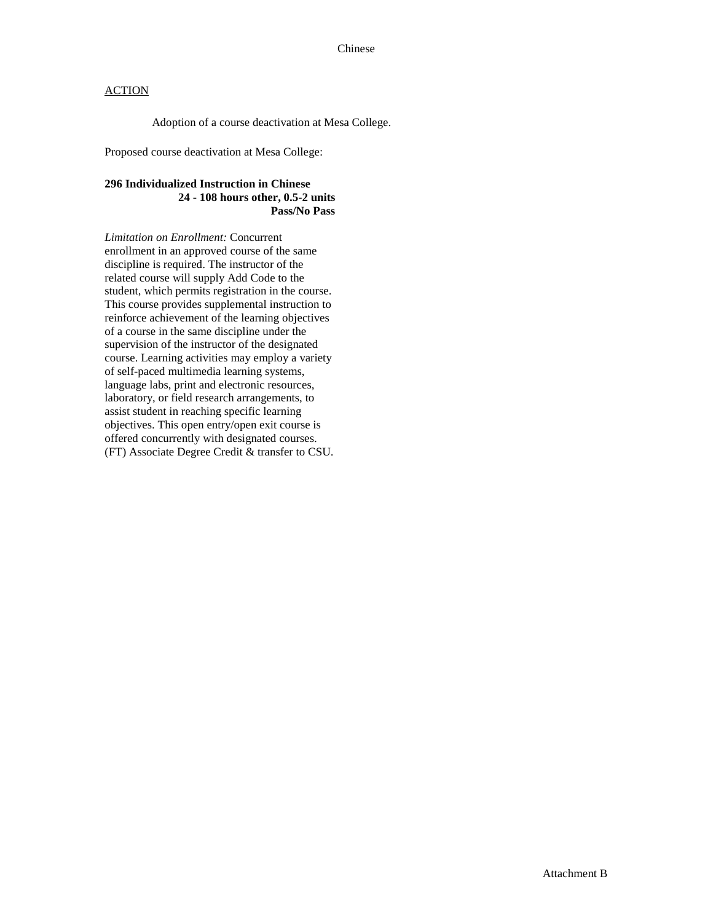Adoption of a course deactivation at Mesa College.

Proposed course deactivation at Mesa College:

### **296 Individualized Instruction in Chinese 24 - 108 hours other, 0.5-2 units Pass/No Pass**

*Limitation on Enrollment:* Concurrent enrollment in an approved course of the same discipline is required. The instructor of the related course will supply Add Code to the student, which permits registration in the course. This course provides supplemental instruction to reinforce achievement of the learning objectives of a course in the same discipline under the supervision of the instructor of the designated course. Learning activities may employ a variety of self-paced multimedia learning systems, language labs, print and electronic resources, laboratory, or field research arrangements, to assist student in reaching specific learning objectives. This open entry/open exit course is offered concurrently with designated courses. (FT) Associate Degree Credit & transfer to CSU.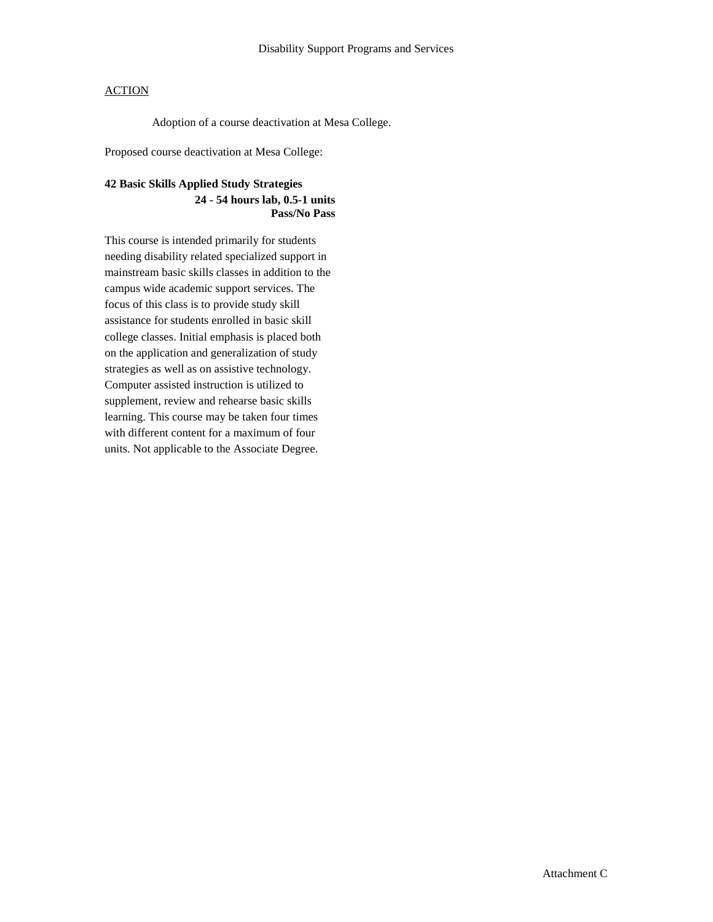Adoption of a course deactivation at Mesa College.

Proposed course deactivation at Mesa College:

# **42 Basic Skills Applied Study Strategies**

### **24 - 54 hours lab, 0.5-1 units Pass/No Pass**

This course is intended primarily for students needing disability related specialized support in mainstream basic skills classes in addition to the campus wide academic support services. The focus of this class is to provide study skill assistance for students enrolled in basic skill college classes. Initial emphasis is placed both on the application and generalization of study strategies as well as on assistive technology. Computer assisted instruction is utilized to supplement, review and rehearse basic skills learning. This course may be taken four times with different content for a maximum of four units. Not applicable to the Associate Degree.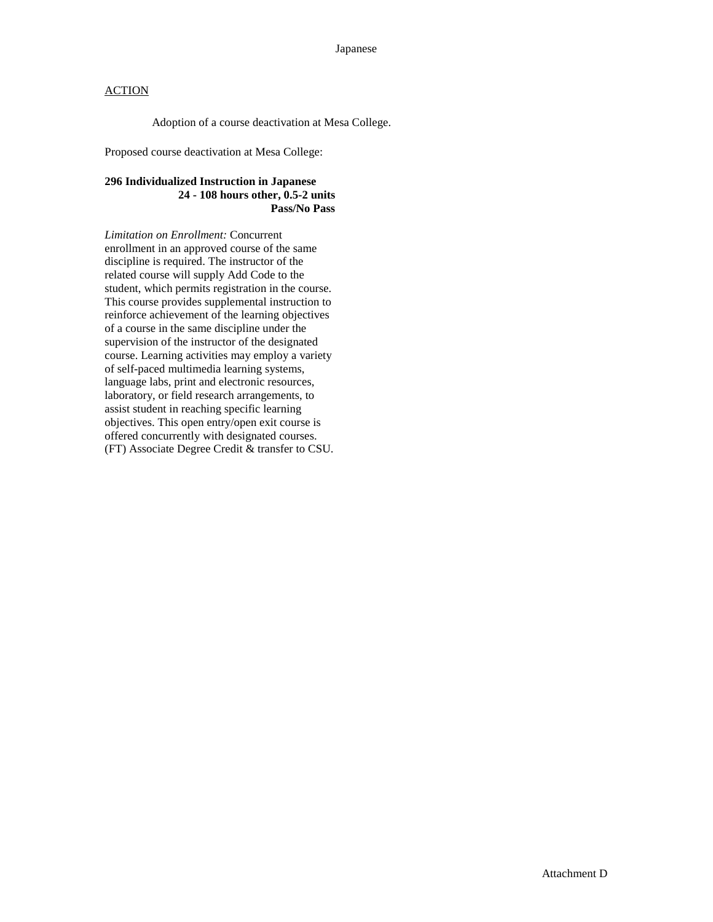Adoption of a course deactivation at Mesa College.

Proposed course deactivation at Mesa College:

### **296 Individualized Instruction in Japanese 24 - 108 hours other, 0.5-2 units Pass/No Pass**

*Limitation on Enrollment:* Concurrent enrollment in an approved course of the same discipline is required. The instructor of the related course will supply Add Code to the student, which permits registration in the course. This course provides supplemental instruction to reinforce achievement of the learning objectives of a course in the same discipline under the supervision of the instructor of the designated course. Learning activities may employ a variety of self-paced multimedia learning systems, language labs, print and electronic resources, laboratory, or field research arrangements, to assist student in reaching specific learning objectives. This open entry/open exit course is offered concurrently with designated courses. (FT) Associate Degree Credit & transfer to CSU.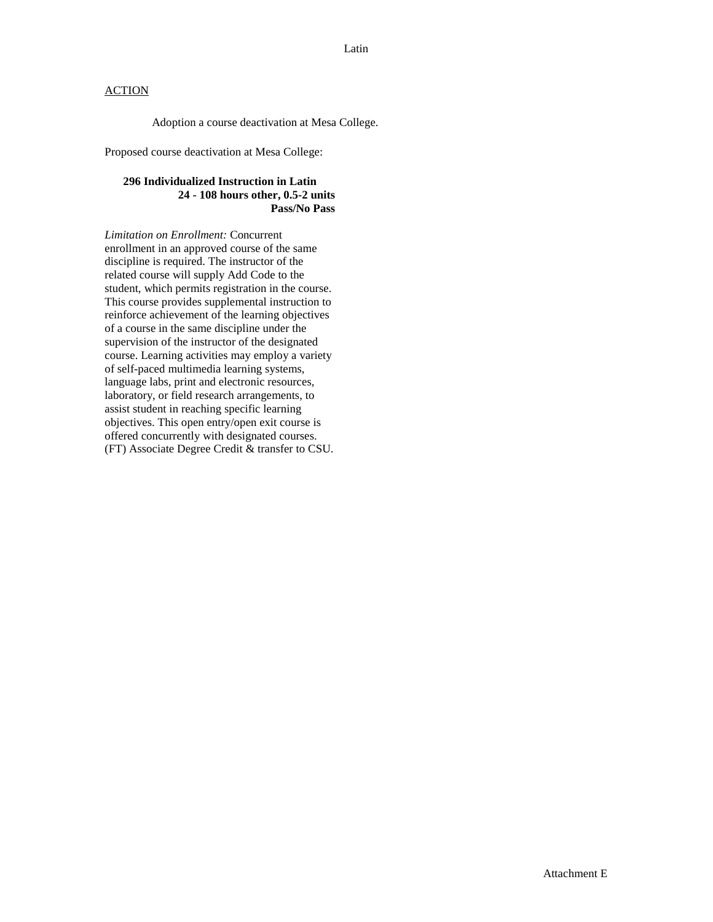Adoption a course deactivation at Mesa College.

Proposed course deactivation at Mesa College:

### **296 Individualized Instruction in Latin 24 - 108 hours other, 0.5-2 units Pass/No Pass**

*Limitation on Enrollment:* Concurrent enrollment in an approved course of the same discipline is required. The instructor of the related course will supply Add Code to the student, which permits registration in the course. This course provides supplemental instruction to reinforce achievement of the learning objectives of a course in the same discipline under the supervision of the instructor of the designated course. Learning activities may employ a variety of self-paced multimedia learning systems, language labs, print and electronic resources, laboratory, or field research arrangements, to assist student in reaching specific learning objectives. This open entry/open exit course is offered concurrently with designated courses. (FT) Associate Degree Credit & transfer to CSU.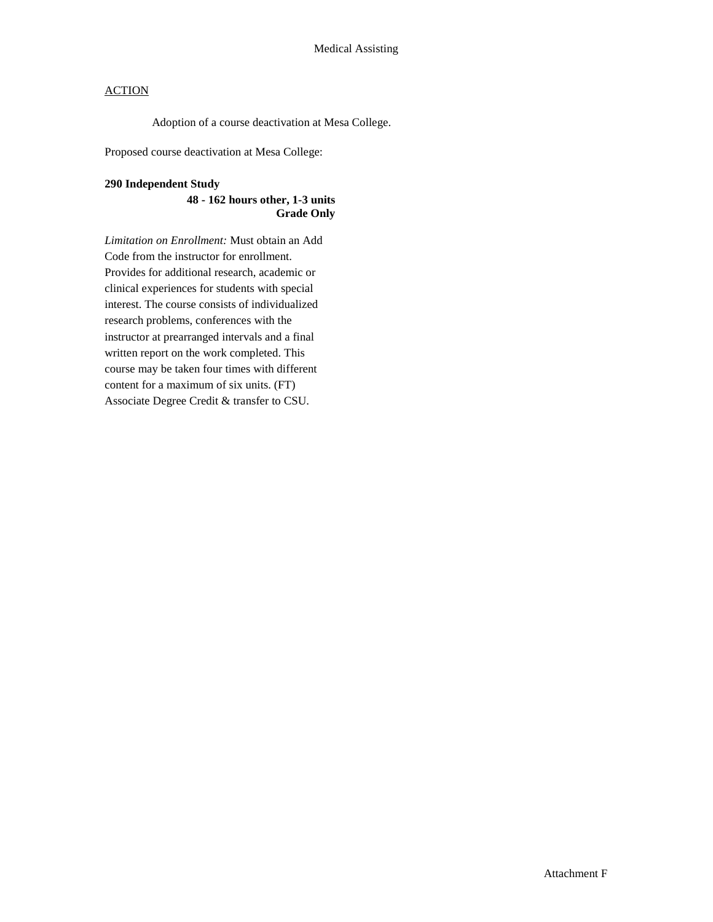Adoption of a course deactivation at Mesa College.

Proposed course deactivation at Mesa College:

#### **290 Independent Study**

### **48 - 162 hours other, 1-3 units Grade Only**

*Limitation on Enrollment:* Must obtain an Add Code from the instructor for enrollment. Provides for additional research, academic or clinical experiences for students with special interest. The course consists of individualized research problems, conferences with the instructor at prearranged intervals and a final written report on the work completed. This course may be taken four times with different content for a maximum of six units. (FT) Associate Degree Credit & transfer to CSU.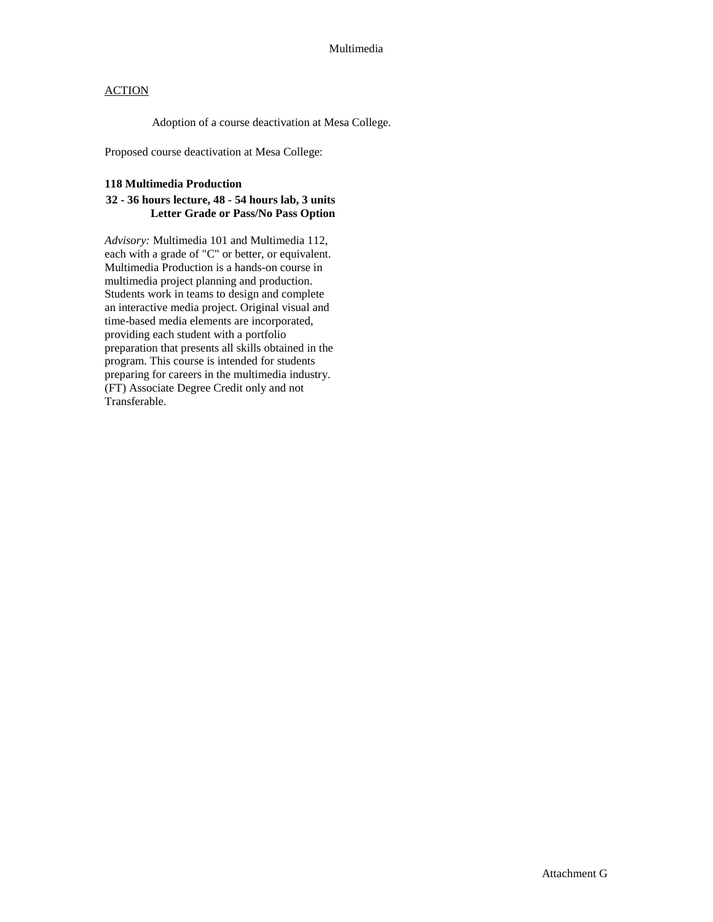Adoption of a course deactivation at Mesa College.

Proposed course deactivation at Mesa College:

#### **118 Multimedia Production**

### **32 - 36 hours lecture, 48 - 54 hours lab, 3 units Letter Grade or Pass/No Pass Option**

*Advisory:* Multimedia 101 and Multimedia 112, each with a grade of "C" or better, or equivalent. Multimedia Production is a hands-on course in multimedia project planning and production. Students work in teams to design and complete an interactive media project. Original visual and time-based media elements are incorporated, providing each student with a portfolio preparation that presents all skills obtained in the program. This course is intended for students preparing for careers in the multimedia industry. (FT) Associate Degree Credit only and not Transferable.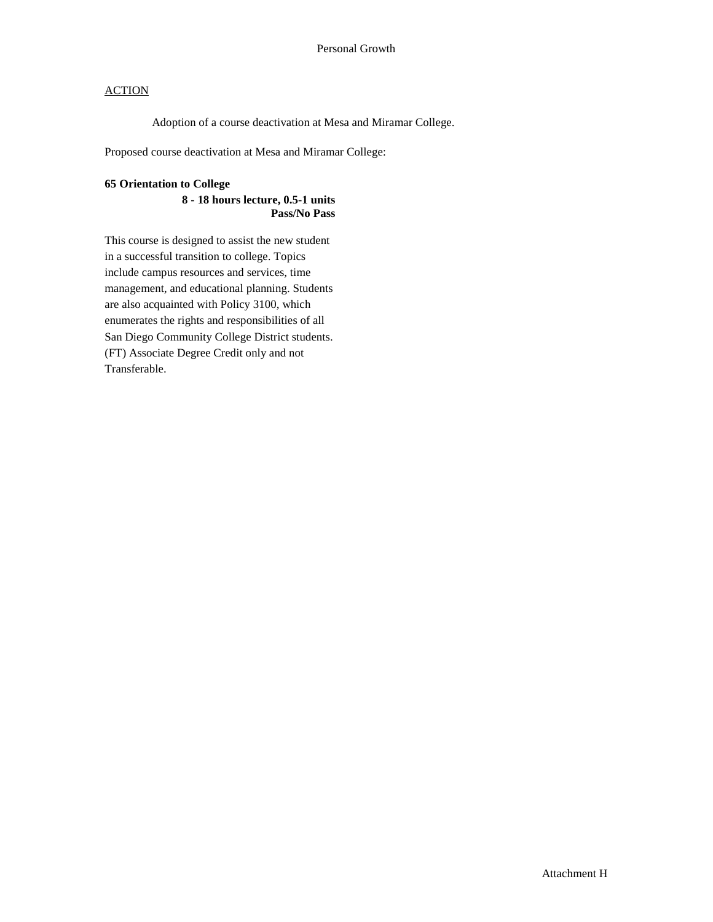Adoption of a course deactivation at Mesa and Miramar College.

Proposed course deactivation at Mesa and Miramar College:

#### **65 Orientation to College**

### **8 - 18 hours lecture, 0.5-1 units Pass/No Pass**

This course is designed to assist the new student in a successful transition to college. Topics include campus resources and services, time management, and educational planning. Students are also acquainted with Policy 3100, which enumerates the rights and responsibilities of all San Diego Community College District students. (FT) Associate Degree Credit only and not Transferable.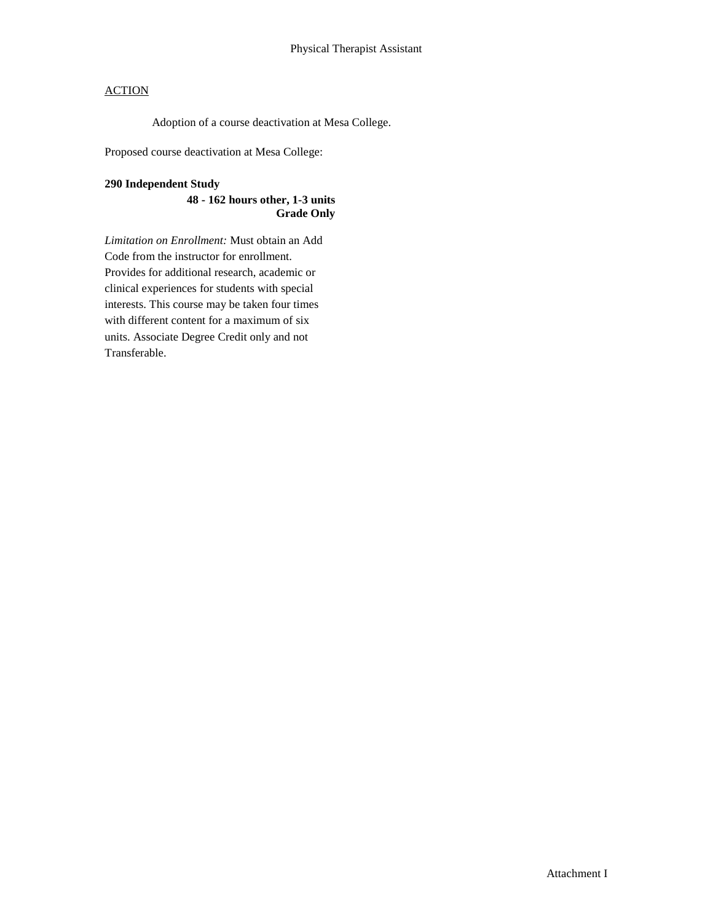Adoption of a course deactivation at Mesa College.

Proposed course deactivation at Mesa College:

### **290 Independent Study**

**48 - 162 hours other, 1-3 units Grade Only** 

*Limitation on Enrollment:* Must obtain an Add Code from the instructor for enrollment. Provides for additional research, academic or clinical experiences for students with special interests. This course may be taken four times with different content for a maximum of six units. Associate Degree Credit only and not Transferable.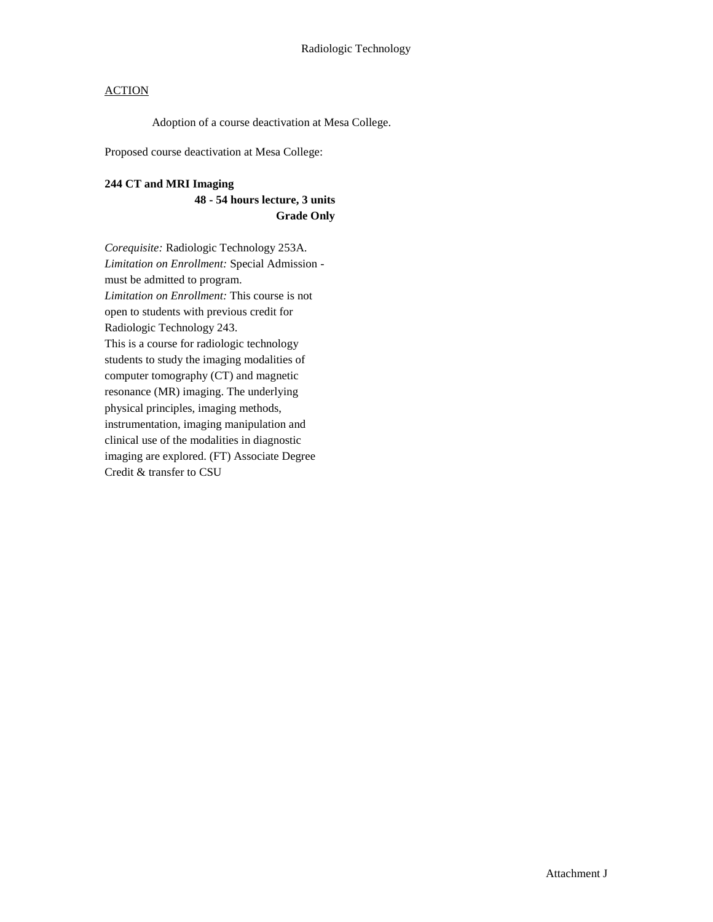Adoption of a course deactivation at Mesa College.

Proposed course deactivation at Mesa College:

### **244 CT and MRI Imaging**

**48 - 54 hours lecture, 3 units Grade Only**

*Corequisite:* Radiologic Technology 253A. *Limitation on Enrollment:* Special Admission must be admitted to program. *Limitation on Enrollment:* This course is not open to students with previous credit for Radiologic Technology 243. This is a course for radiologic technology students to study the imaging modalities of computer tomography (CT) and magnetic resonance (MR) imaging. The underlying physical principles, imaging methods, instrumentation, imaging manipulation and clinical use of the modalities in diagnostic imaging are explored. (FT) Associate Degree Credit & transfer to CSU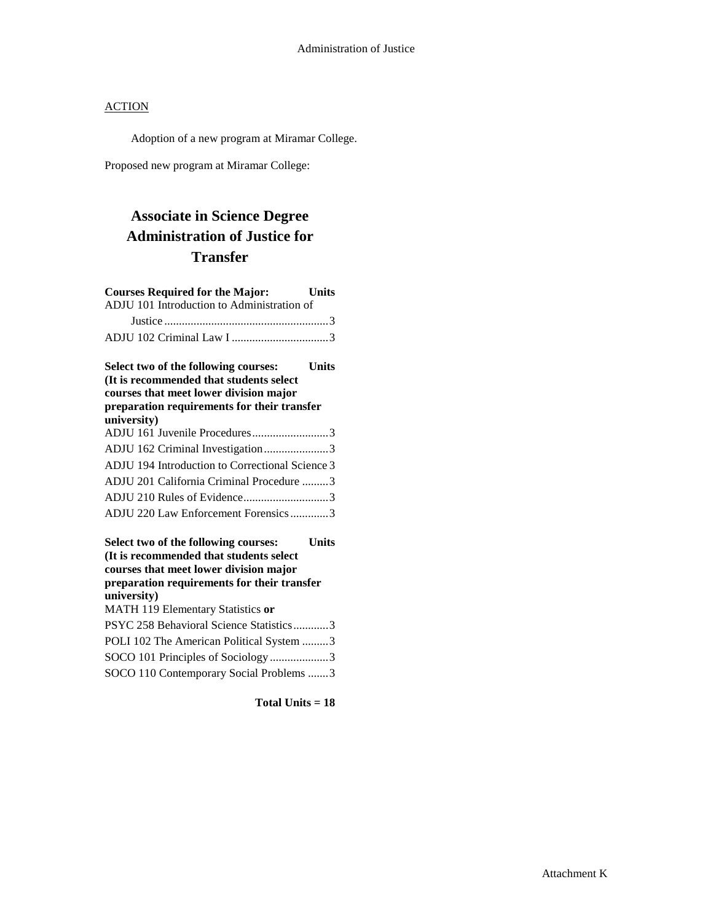Adoption of a new program at Miramar College.

Proposed new program at Miramar College:

# **Associate in Science Degree Administration of Justice for Transfer**

| <b>Courses Required for the Major:</b><br>ADJU 101 Introduction to Administration of | <b>Units</b> |
|--------------------------------------------------------------------------------------|--------------|
|                                                                                      |              |
|                                                                                      |              |
| Select two of the following courses:                                                 | <b>Units</b> |
| (It is recommended that students select                                              |              |
| courses that meet lower division major                                               |              |
| preparation requirements for their transfer<br>university)                           |              |
| ADJU 161 Juvenile Procedures3                                                        |              |
| ADJU 162 Criminal Investigation3                                                     |              |
| ADJU 194 Introduction to Correctional Science 3                                      |              |
| ADJU 201 California Criminal Procedure 3                                             |              |
|                                                                                      |              |
| ADJU 220 Law Enforcement Forensics3                                                  |              |
| Select two of the following courses:<br>(It is recommended that students select      | <b>Units</b> |
| courses that meet lower division major                                               |              |
| preparation requirements for their transfer                                          |              |
| university)                                                                          |              |
| MATH 119 Elementary Statistics or                                                    |              |
| PSYC 258 Behavioral Science Statistics3                                              |              |
| POLI 102 The American Political System 3                                             |              |
| SOCO 101 Principles of Sociology 3                                                   |              |
| SOCO 110 Contemporary Social Problems 3                                              |              |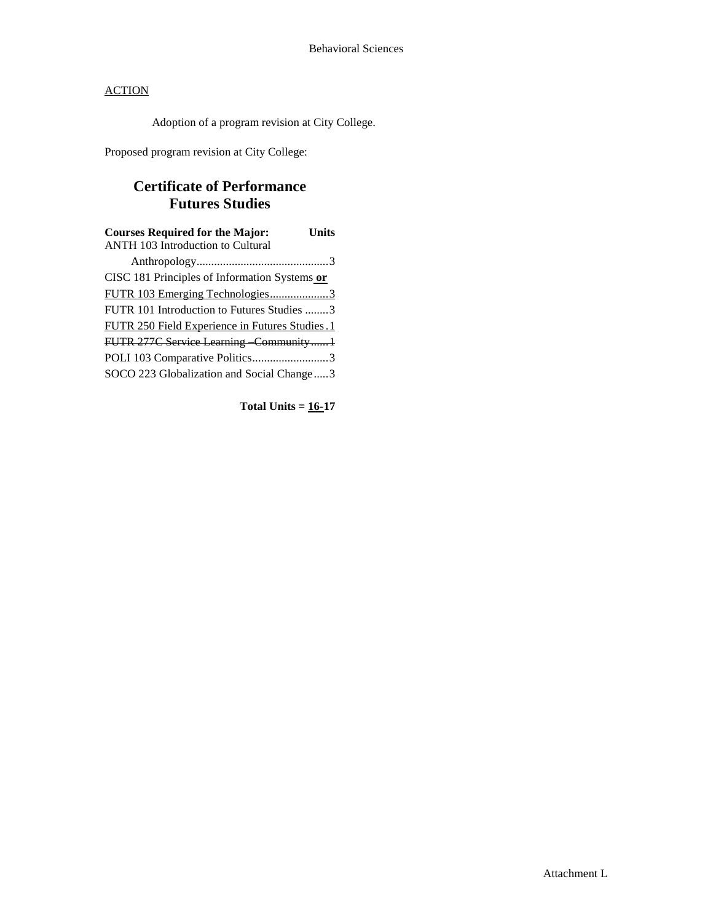Adoption of a program revision at City College.

Proposed program revision at City College:

# **Certificate of Performance Futures Studies**

| <b>Courses Required for the Major:</b><br><b>ANTH 103 Introduction to Cultural</b> | Units |
|------------------------------------------------------------------------------------|-------|
|                                                                                    |       |
| CISC 181 Principles of Information Systems or                                      |       |
| FUTR 103 Emerging Technologies3                                                    |       |
| FUTR 101 Introduction to Futures Studies 3                                         |       |
| FUTR 250 Field Experience in Futures Studies.1                                     |       |
| FUTR 277C Service Learning Community1                                              |       |
| POLI 103 Comparative Politics3                                                     |       |
| SOCO 223 Globalization and Social Change3                                          |       |

**Total Units = 16-17**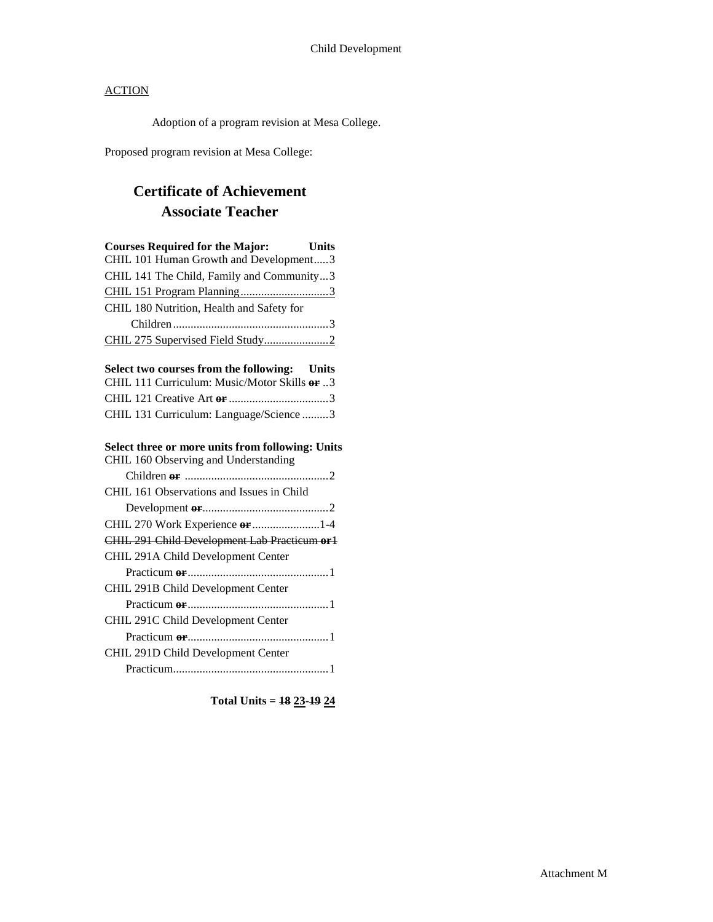Adoption of a program revision at Mesa College.

Proposed program revision at Mesa College:

# **Certificate of Achievement Associate Teacher**

| <b>Courses Required for the Major:</b><br><b>Units</b>                                   |
|------------------------------------------------------------------------------------------|
| CHIL 101 Human Growth and Development3                                                   |
| CHIL 141 The Child, Family and Community3                                                |
| CHIL 151 Program Planning3                                                               |
| CHIL 180 Nutrition, Health and Safety for                                                |
|                                                                                          |
|                                                                                          |
| Select two courses from the following: Units                                             |
| CHIL 111 Curriculum: Music/Motor Skills or 3                                             |
|                                                                                          |
| CHIL 131 Curriculum: Language/Science 3                                                  |
| Select three or more units from following: Units<br>CHIL 160 Observing and Understanding |
|                                                                                          |
| CHIL 161 Observations and Issues in Child                                                |
|                                                                                          |
| CHIL 270 Work Experience or 1-4                                                          |
| CHIL 291 Child Development Lab Practicum or1                                             |
| CHIL 291A Child Development Center                                                       |
|                                                                                          |
| CHIL 291B Child Development Center                                                       |
|                                                                                          |
| CHIL 291C Child Development Center                                                       |
|                                                                                          |
| CHIL 291D Child Development Center                                                       |
|                                                                                          |

**Total Units = 18 23-19 24**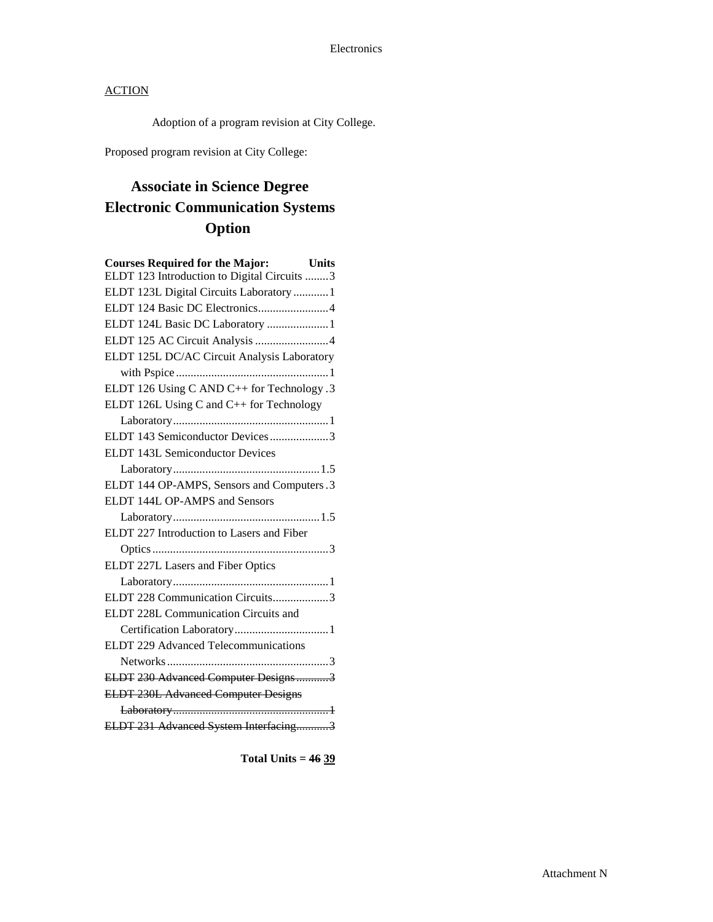Adoption of a program revision at City College.

Proposed program revision at City College:

# **Associate in Science Degree Electronic Communication Systems Option**

| <b>Courses Required for the Major:</b> Units<br>ELDT 123 Introduction to Digital Circuits 3 |
|---------------------------------------------------------------------------------------------|
| ELDT 123L Digital Circuits Laboratory  1                                                    |
| ELDT 124 Basic DC Electronics4                                                              |
| ELDT 124L Basic DC Laboratory  1                                                            |
| ELDT 125 AC Circuit Analysis 4                                                              |
| ELDT 125L DC/AC Circuit Analysis Laboratory                                                 |
|                                                                                             |
| ELDT 126 Using C AND C++ for Technology .3                                                  |
| ELDT 126L Using C and C++ for Technology                                                    |
|                                                                                             |
| ELDT 143 Semiconductor Devices3                                                             |
| ELDT 143L Semiconductor Devices                                                             |
|                                                                                             |
| ELDT 144 OP-AMPS, Sensors and Computers.3                                                   |
| ELDT 144L OP-AMPS and Sensors                                                               |
|                                                                                             |
| ELDT 227 Introduction to Lasers and Fiber                                                   |
|                                                                                             |
| ELDT 227L Lasers and Fiber Optics                                                           |
|                                                                                             |
| ELDT 228 Communication Circuits3                                                            |
| ELDT 228L Communication Circuits and                                                        |
|                                                                                             |
| ELDT 229 Advanced Telecommunications                                                        |
|                                                                                             |
| ELDT 230 Advanced Computer Designs3                                                         |
| <b>ELDT 230L Advanced Computer Designs</b>                                                  |
|                                                                                             |
| ELDT 231 Advanced System Interfacing3                                                       |

**Total Units = 46 39**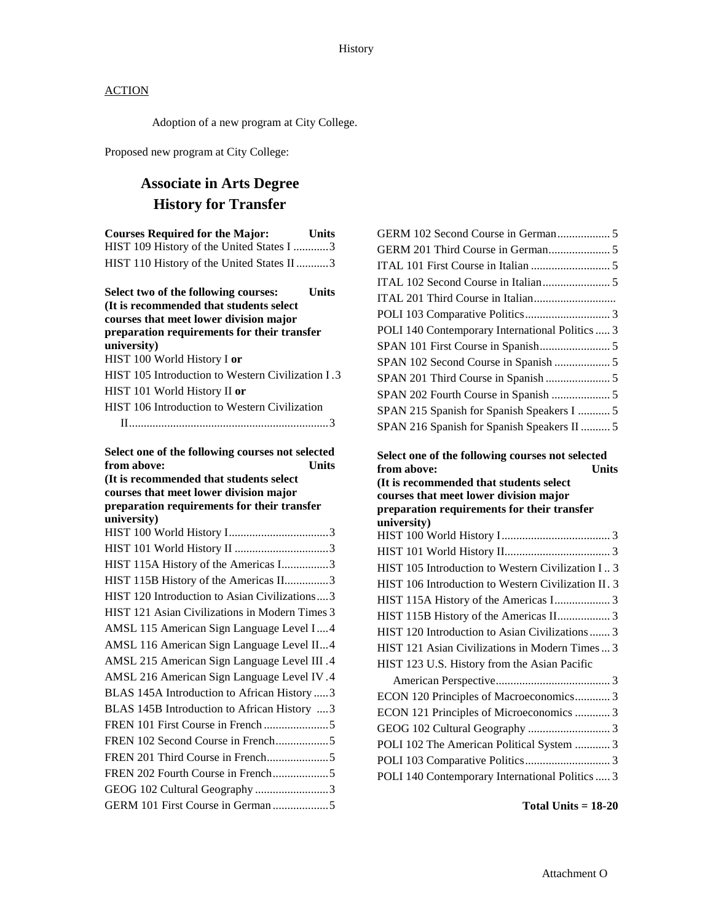Adoption of a new program at City College.

Proposed new program at City College:

# **Associate in Arts Degree History for Transfer**

| <b>Courses Required for the Major:</b><br>HIST 109 History of the United States I 3<br>HIST 110 History of the United States II 3                                                       | <b>Units</b> |
|-----------------------------------------------------------------------------------------------------------------------------------------------------------------------------------------|--------------|
| Select two of the following courses:<br>(It is recommended that students select<br>courses that meet lower division major<br>preparation requirements for their transfer<br>university) | <b>Units</b> |
| HIST 100 World History I or                                                                                                                                                             |              |
| HIST 105 Introduction to Western Civilization I.3                                                                                                                                       |              |
| HIST 101 World History II or                                                                                                                                                            |              |
| HIST 106 Introduction to Western Civilization                                                                                                                                           |              |
|                                                                                                                                                                                         |              |
| Select one of the following courses not selected                                                                                                                                        |              |
| from above:                                                                                                                                                                             | <b>Units</b> |
| (It is recommended that students select                                                                                                                                                 |              |
| courses that meet lower division major                                                                                                                                                  |              |
| preparation requirements for their transfer<br>university)                                                                                                                              |              |
|                                                                                                                                                                                         |              |
|                                                                                                                                                                                         |              |
| HIST 115A History of the Americas I3                                                                                                                                                    |              |
| HIST 115B History of the Americas II3                                                                                                                                                   |              |
| HIST 120 Introduction to Asian Civilizations3                                                                                                                                           |              |
| HIST 121 Asian Civilizations in Modern Times 3                                                                                                                                          |              |
| AMSL 115 American Sign Language Level I4                                                                                                                                                |              |
| AMSL 116 American Sign Language Level II4                                                                                                                                               |              |
| AMSL 215 American Sign Language Level III.4                                                                                                                                             |              |
| AMSL 216 American Sign Language Level IV.4                                                                                                                                              |              |
| BLAS 145A Introduction to African History  3                                                                                                                                            |              |
| BLAS 145B Introduction to African History 3                                                                                                                                             |              |
|                                                                                                                                                                                         |              |
| FREN 102 Second Course in French5                                                                                                                                                       |              |
|                                                                                                                                                                                         |              |
| FREN 202 Fourth Course in French5                                                                                                                                                       |              |
| GEOG 102 Cultural Geography 3                                                                                                                                                           |              |
| GERM 101 First Course in German 5                                                                                                                                                       |              |

| POLI 140 Contemporary International Politics  3     |
|-----------------------------------------------------|
|                                                     |
|                                                     |
|                                                     |
|                                                     |
| SPAN 215 Spanish for Spanish Speakers I  5          |
| SPAN 216 Spanish for Spanish Speakers II  5         |
| Select one of the following courses not selected    |
| from above:<br>Units                                |
|                                                     |
| (It is recommended that students select             |
| courses that meet lower division major              |
| preparation requirements for their transfer         |
| university)                                         |
|                                                     |
|                                                     |
| HIST 105 Introduction to Western Civilization I 3   |
| HIST 106 Introduction to Western Civilization II. 3 |
|                                                     |
|                                                     |
| HIST 120 Introduction to Asian Civilizations  3     |
| HIST 121 Asian Civilizations in Modern Times  3     |
| HIST 123 U.S. History from the Asian Pacific        |
|                                                     |
| ECON 120 Principles of Macroeconomics 3             |
| ECON 121 Principles of Microeconomics  3            |
|                                                     |
| POLI 102 The American Political System  3           |
| POLI 140 Contemporary International Politics  3     |

**Total Units = 18-20**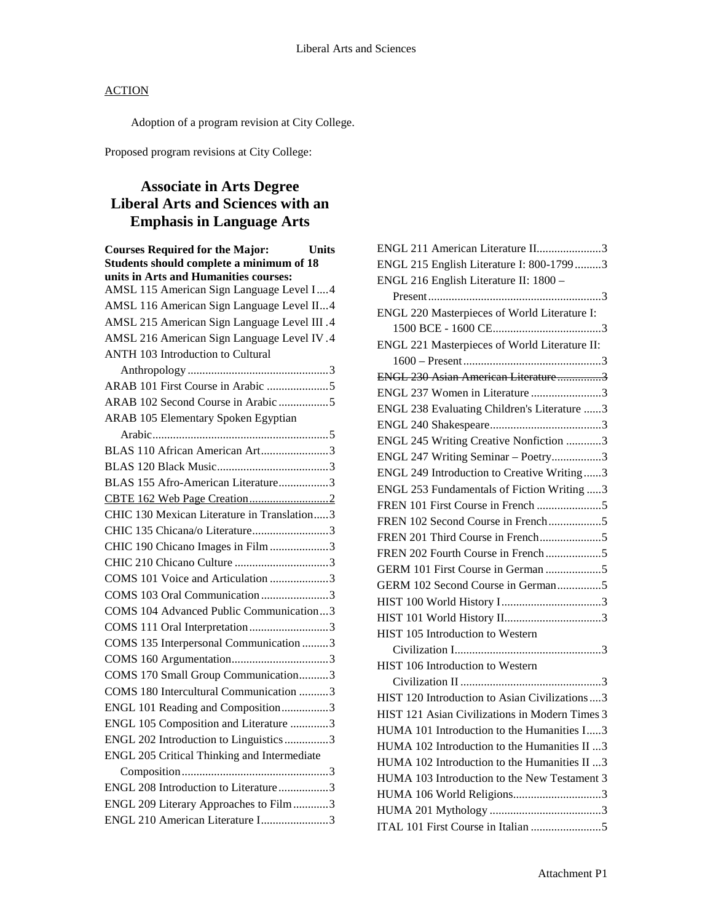Adoption of a program revision at City College.

Proposed program revisions at City College:

# **Associate in Arts Degree Liberal Arts and Sciences with an Emphasis in Language Arts**

| <b>Courses Required for the Major:</b><br><b>Units</b> |  |
|--------------------------------------------------------|--|
| Students should complete a minimum of 18               |  |
| units in Arts and Humanities courses:                  |  |
| AMSL 115 American Sign Language Level I4               |  |
| AMSL 116 American Sign Language Level II4              |  |
| AMSL 215 American Sign Language Level III .4           |  |
| AMSL 216 American Sign Language Level IV.4             |  |
| ANTH 103 Introduction to Cultural                      |  |
|                                                        |  |
|                                                        |  |
| ARAB 102 Second Course in Arabic 5                     |  |
| ARAB 105 Elementary Spoken Egyptian                    |  |
|                                                        |  |
| BLAS 110 African American Art3                         |  |
|                                                        |  |
| BLAS 155 Afro-American Literature3                     |  |
|                                                        |  |
| CHIC 130 Mexican Literature in Translation3            |  |
| CHIC 135 Chicana/o Literature3                         |  |
| CHIC 190 Chicano Images in Film 3                      |  |
|                                                        |  |
| COMS 101 Voice and Articulation 3                      |  |
| COMS 103 Oral Communication3                           |  |
| COMS 104 Advanced Public Communication3                |  |
| COMS 111 Oral Interpretation 3                         |  |
| COMS 135 Interpersonal Communication 3                 |  |
|                                                        |  |
| COMS 170 Small Group Communication3                    |  |
| COMS 180 Intercultural Communication 3                 |  |
| ENGL 101 Reading and Composition3                      |  |
| ENGL 105 Composition and Literature 3                  |  |
| ENGL 202 Introduction to Linguistics3                  |  |
| ENGL 205 Critical Thinking and Intermediate            |  |
|                                                        |  |
| ENGL 208 Introduction to Literature3                   |  |
| ENGL 209 Literary Approaches to Film3                  |  |
| ENGL 210 American Literature I3                        |  |

| ENGL 211 American Literature II3                |
|-------------------------------------------------|
| ENGL 215 English Literature I: 800-1799 3       |
| ENGL 216 English Literature II: 1800 -          |
|                                                 |
| ENGL 220 Masterpieces of World Literature I:    |
|                                                 |
| ENGL 221 Masterpieces of World Literature II:   |
|                                                 |
| ENGL 230 Asian American Literature3             |
| ENGL 237 Women in Literature 3                  |
| ENGL 238 Evaluating Children's Literature 3     |
|                                                 |
| ENGL 245 Writing Creative Nonfiction 3          |
| ENGL 247 Writing Seminar - Poetry3              |
| ENGL 249 Introduction to Creative Writing3      |
| ENGL 253 Fundamentals of Fiction Writing 3      |
| FREN 101 First Course in French 5               |
|                                                 |
|                                                 |
|                                                 |
| GERM 101 First Course in German 5               |
| GERM 102 Second Course in German5               |
|                                                 |
|                                                 |
| HIST 105 Introduction to Western                |
|                                                 |
| HIST 106 Introduction to Western                |
|                                                 |
| HIST 120 Introduction to Asian Civilizations  3 |
| HIST 121 Asian Civilizations in Modern Times 3  |
| HUMA 101 Introduction to the Humanities I3      |
| HUMA 102 Introduction to the Humanities II 3    |
| HUMA 102 Introduction to the Humanities II 3    |
| HUMA 103 Introduction to the New Testament 3    |
| HUMA 106 World Religions3                       |
|                                                 |
|                                                 |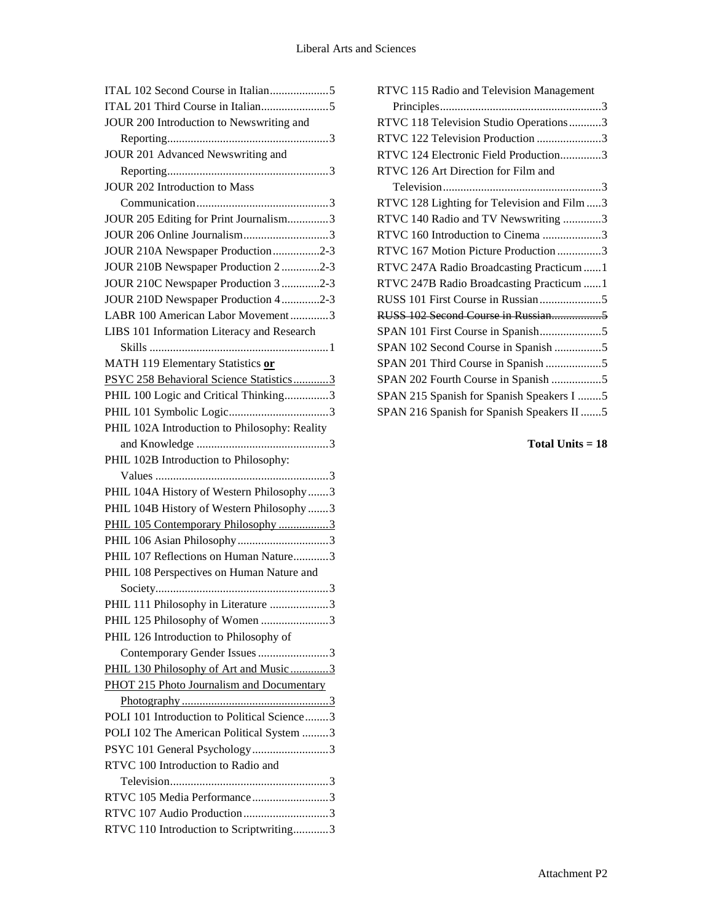| JOUR 200 Introduction to Newswriting and      |
|-----------------------------------------------|
|                                               |
| JOUR 201 Advanced Newswriting and             |
|                                               |
| <b>JOUR 202 Introduction to Mass</b>          |
|                                               |
| JOUR 205 Editing for Print Journalism3        |
| JOUR 206 Online Journalism3                   |
| JOUR 210A Newspaper Production2-3             |
| JOUR 210B Newspaper Production 2 2-3          |
| JOUR 210C Newspaper Production 3 2-3          |
| JOUR 210D Newspaper Production 42-3           |
| LABR 100 American Labor Movement3             |
| LIBS 101 Information Literacy and Research    |
|                                               |
| MATH 119 Elementary Statistics or             |
| PSYC 258 Behavioral Science Statistics3       |
| PHIL 100 Logic and Critical Thinking3         |
|                                               |
| PHIL 102A Introduction to Philosophy: Reality |
|                                               |
| PHIL 102B Introduction to Philosophy:         |
|                                               |
| PHIL 104A History of Western Philosophy3      |
| PHIL 104B History of Western Philosophy 3     |
| PHIL 105 Contemporary Philosophy 3            |
|                                               |
| PHIL 107 Reflections on Human Nature3         |
| PHIL 108 Perspectives on Human Nature and     |
|                                               |
| PHIL 111 Philosophy in Literature 3           |
| PHIL 125 Philosophy of Women 3                |
| PHIL 126 Introduction to Philosophy of        |
| Contemporary Gender Issues 3                  |
| PHIL 130 Philosophy of Art and Music 3        |
| PHOT 215 Photo Journalism and Documentary     |
|                                               |
| POLI 101 Introduction to Political Science3   |
| POLI 102 The American Political System 3      |
| PSYC 101 General Psychology 3                 |
| RTVC 100 Introduction to Radio and            |
|                                               |
| RTVC 105 Media Performance3                   |
| RTVC 107 Audio Production3                    |
| RTVC 110 Introduction to Scriptwriting3       |
|                                               |

| RTVC 115 Radio and Television Management    |
|---------------------------------------------|
|                                             |
| RTVC 118 Television Studio Operations3      |
| RTVC 122 Television Production 3            |
| RTVC 124 Electronic Field Production3       |
| RTVC 126 Art Direction for Film and         |
|                                             |
| RTVC 128 Lighting for Television and Film 3 |
| RTVC 140 Radio and TV Newswriting 3         |
| RTVC 160 Introduction to Cinema 3           |
| RTVC 167 Motion Picture Production 3        |
| RTVC 247A Radio Broadcasting Practicum  1   |
| RTVC 247B Radio Broadcasting Practicum  1   |
|                                             |
|                                             |
|                                             |
| SPAN 102 Second Course in Spanish 5         |
| SPAN 201 Third Course in Spanish 5          |
| SPAN 202 Fourth Course in Spanish 5         |
| SPAN 215 Spanish for Spanish Speakers I 5   |
| SPAN 216 Spanish for Spanish Speakers II 5  |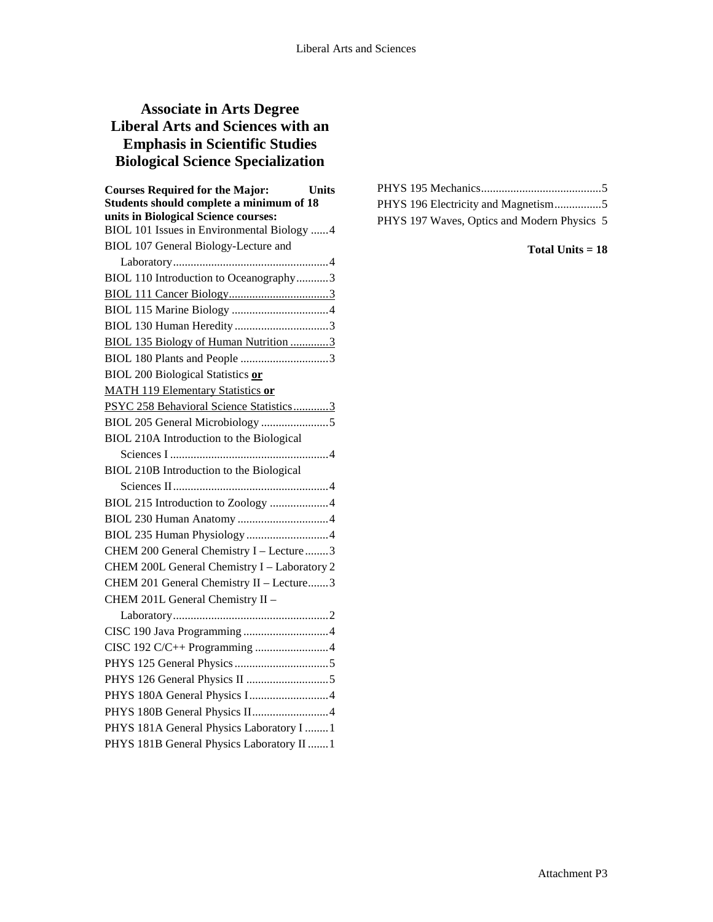# **Associate in Arts Degree Liberal Arts and Sciences with an Emphasis in Scientific Studies Biological Science Specialization**

| <b>Courses Required for the Major:</b><br><b>Units</b> |
|--------------------------------------------------------|
| Students should complete a minimum of 18               |
| units in Biological Science courses:                   |
| BIOL 101 Issues in Environmental Biology 4             |
| BIOL 107 General Biology-Lecture and                   |
|                                                        |
| BIOL 110 Introduction to Oceanography3                 |
|                                                        |
|                                                        |
|                                                        |
| BIOL 135 Biology of Human Nutrition 3                  |
| BIOL 180 Plants and People 3                           |
| <b>BIOL 200 Biological Statistics or</b>               |
| <b>MATH 119 Elementary Statistics or</b>               |
| PSYC 258 Behavioral Science Statistics3                |
|                                                        |
| BIOL 210A Introduction to the Biological               |
|                                                        |
| BIOL 210B Introduction to the Biological               |
|                                                        |
| BIOL 215 Introduction to Zoology 4                     |
|                                                        |
|                                                        |
| CHEM 200 General Chemistry I - Lecture3                |
| CHEM 200L General Chemistry I - Laboratory 2           |
| CHEM 201 General Chemistry II - Lecture3               |
| CHEM 201L General Chemistry II -                       |
|                                                        |
|                                                        |
| CISC 192 C/C++ Programming 4                           |
|                                                        |
|                                                        |
| PHYS 180A General Physics I4                           |
| PHYS 180B General Physics II4                          |
| PHYS 181A General Physics Laboratory I  1              |
| PHYS 181B General Physics Laboratory II  1             |

|  | PHYS 196 Electricity and Magnetism5         |  |
|--|---------------------------------------------|--|
|  | PHYS 197 Waves, Optics and Modern Physics 5 |  |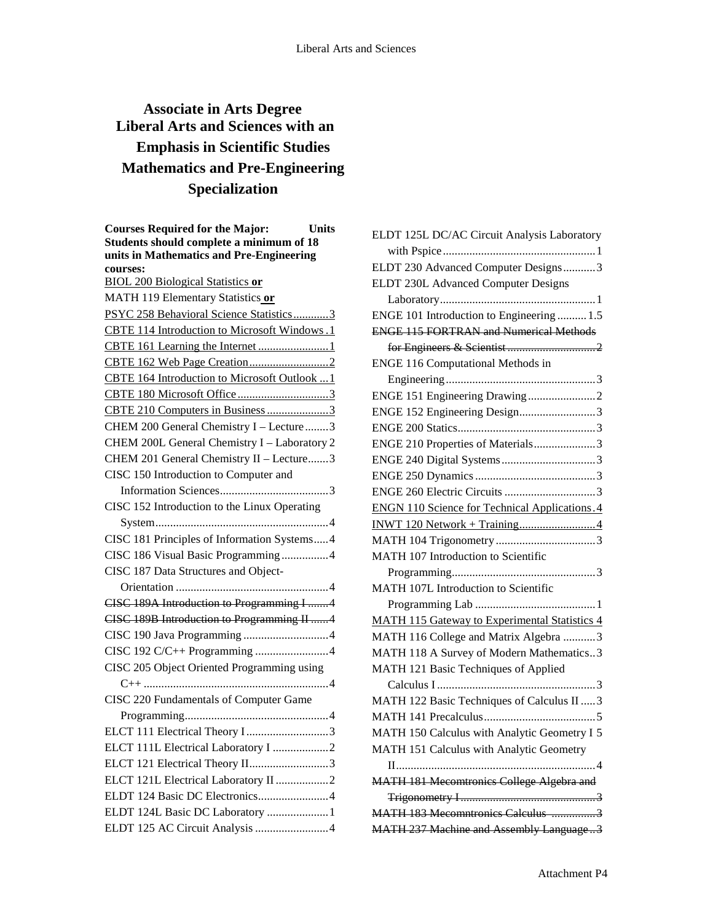# **Associate in Arts Degree Liberal Arts and Sciences with an Emphasis in Scientific Studies Mathematics and Pre-Engineering Specialization**

| <b>Courses Required for the Major:</b><br><b>Units</b> |
|--------------------------------------------------------|
| Students should complete a minimum of 18               |
| units in Mathematics and Pre-Engineering               |
| courses:<br><b>BIOL 200 Biological Statistics or</b>   |
|                                                        |
| MATH 119 Elementary Statistics or                      |
| PSYC 258 Behavioral Science Statistics3                |
| CBTE 114 Introduction to Microsoft Windows.1           |
|                                                        |
|                                                        |
| CBTE 164 Introduction to Microsoft Outlook  1          |
| CBTE 180 Microsoft Office3                             |
| CBTE 210 Computers in Business3                        |
| CHEM 200 General Chemistry I - Lecture 3               |
| CHEM 200L General Chemistry I - Laboratory 2           |
| CHEM 201 General Chemistry II - Lecture3               |
| CISC 150 Introduction to Computer and                  |
|                                                        |
| CISC 152 Introduction to the Linux Operating           |
|                                                        |
| CISC 181 Principles of Information Systems4            |
| CISC 186 Visual Basic Programming4                     |
| CISC 187 Data Structures and Object-                   |
|                                                        |
| CISC 189A Introduction to Programming I 4              |
| CISC 189B Introduction to Programming II 4             |
|                                                        |
| CISC 192 C/C++ Programming 4                           |
| CISC 205 Object Oriented Programming using             |
|                                                        |
| CISC 220 Fundamentals of Computer Game                 |
|                                                        |
| ELCT 111 Electrical Theory I3                          |
| ELCT 111L Electrical Laboratory I 2                    |
| ELCT 121 Electrical Theory II3                         |
| ELCT 121L Electrical Laboratory II2                    |
| ELDT 124 Basic DC Electronics4                         |
| ELDT 124L Basic DC Laboratory 1                        |
| ELDT 125 AC Circuit Analysis 4                         |

| ELDT 125L DC/AC Circuit Analysis Laboratory           |
|-------------------------------------------------------|
|                                                       |
| ELDT 230 Advanced Computer Designs3                   |
| ELDT 230L Advanced Computer Designs                   |
|                                                       |
| ENGE 101 Introduction to Engineering  1.5             |
| <b>ENGE 115 FORTRAN and Numerical Methods</b>         |
|                                                       |
| ENGE 116 Computational Methods in                     |
|                                                       |
|                                                       |
| ENGE 152 Engineering Design3                          |
|                                                       |
| ENGE 210 Properties of Materials3                     |
|                                                       |
|                                                       |
|                                                       |
| <b>ENGN 110 Science for Technical Applications. 4</b> |
|                                                       |
|                                                       |
| MATH 107 Introduction to Scientific                   |
|                                                       |
| MATH 107L Introduction to Scientific                  |
|                                                       |
| <b>MATH 115 Gateway to Experimental Statistics 4</b>  |
| MATH 116 College and Matrix Algebra 3                 |
| MATH 118 A Survey of Modern Mathematics3              |
| MATH 121 Basic Techniques of Applied                  |
|                                                       |
| MATH 122 Basic Techniques of Calculus II  3           |
|                                                       |
| MATH 150 Calculus with Analytic Geometry I 5          |
| MATH 151 Calculus with Analytic Geometry              |
|                                                       |
| MATH 181 Mecomtronics College Algebra and             |
|                                                       |
| MATH 183 Mecomntronics Calculus                       |
| MATH 237 Machine and Assembly Language3               |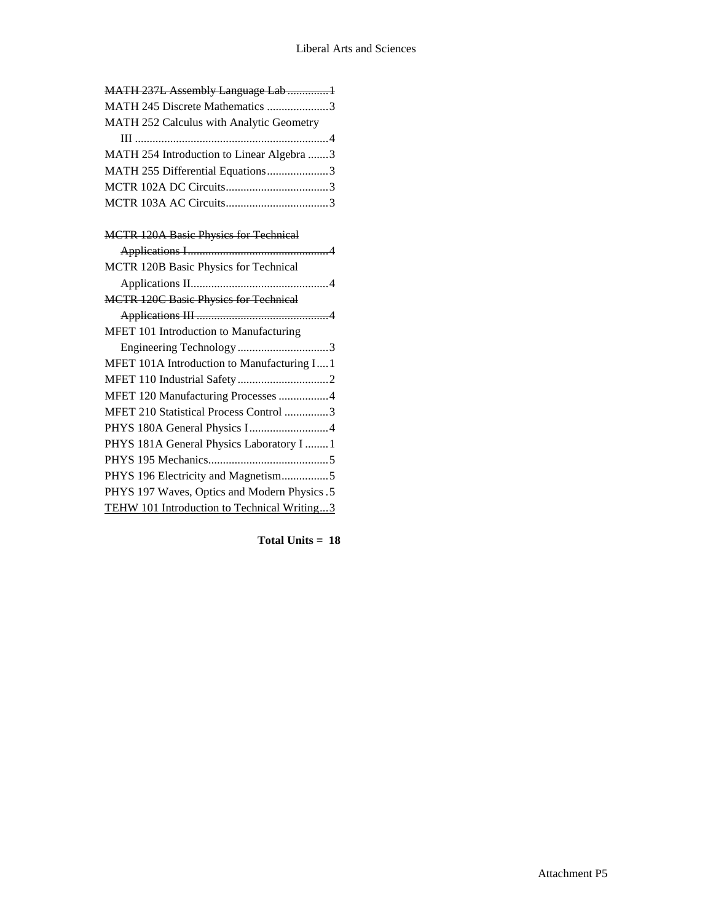| MATH 237L Assembly Language Lab  1        |
|-------------------------------------------|
| MATH 245 Discrete Mathematics 3           |
| MATH 252 Calculus with Analytic Geometry  |
|                                           |
| MATH 254 Introduction to Linear Algebra 3 |
| MATH 255 Differential Equations3          |
|                                           |
|                                           |

# MCTR 120A Basic Physics for Technical Applications I................................................4 MCTR 120B Basic Physics for Technical Applications II...............................................4 MCTR 120C Basic Physics for Technical Applications III .............................................4 MFET 101 Introduction to Manufacturing Engineering Technology ...............................3 MFET 101A Introduction to Manufacturing I....1 MFET 110 Industrial Safety...............................2 MFET 120 Manufacturing Processes .................4 MFET 210 Statistical Process Control ...............3 PHYS 180A General Physics I...........................4 PHYS 181A General Physics Laboratory I ........1 PHYS 195 Mechanics.........................................5 PHYS 196 Electricity and Magnetism................5 PHYS 197 Waves, Optics and Modern Physics.5 TEHW 101 Introduction to Technical Writing...3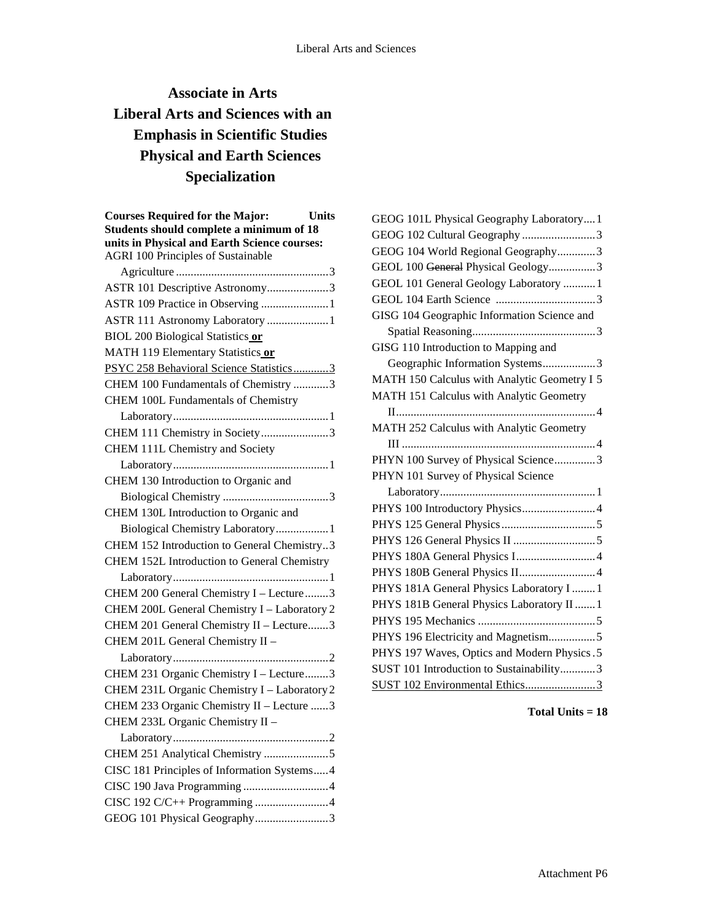# **Associate in Arts Liberal Arts and Sciences with an Emphasis in Scientific Studies Physical and Earth Sciences Specialization**

| <b>Courses Required for the Major:</b><br><b>Units</b> |
|--------------------------------------------------------|
| Students should complete a minimum of 18               |
| units in Physical and Earth Science courses:           |
| <b>AGRI 100 Principles of Sustainable</b>              |
|                                                        |
| ASTR 101 Descriptive Astronomy3                        |
|                                                        |
| ASTR 111 Astronomy Laboratory 1                        |
| <b>BIOL 200 Biological Statistics or</b>               |
| MATH 119 Elementary Statistics or                      |
| PSYC 258 Behavioral Science Statistics3                |
| CHEM 100 Fundamentals of Chemistry 3                   |
| CHEM 100L Fundamentals of Chemistry                    |
|                                                        |
| CHEM 111 Chemistry in Society3                         |
| CHEM 111L Chemistry and Society                        |
|                                                        |
| CHEM 130 Introduction to Organic and                   |
|                                                        |
| CHEM 130L Introduction to Organic and                  |
| Biological Chemistry Laboratory1                       |
| CHEM 152 Introduction to General Chemistry3            |
| CHEM 152L Introduction to General Chemistry            |
|                                                        |
| CHEM 200 General Chemistry I - Lecture3                |
| CHEM 200L General Chemistry I - Laboratory 2           |
| CHEM 201 General Chemistry II - Lecture3               |
| CHEM 201L General Chemistry II -                       |
|                                                        |
| CHEM 231 Organic Chemistry I - Lecture3                |
| CHEM 231L Organic Chemistry I - Laboratory 2           |
| CHEM 233 Organic Chemistry II - Lecture 3              |
| CHEM 233L Organic Chemistry II -                       |
|                                                        |
| CHEM 251 Analytical Chemistry 5                        |
| CISC 181 Principles of Information Systems4            |
|                                                        |
| CISC 192 C/C++ Programming 4                           |
| GEOG 101 Physical Geography3                           |

| GEOG 101L Physical Geography Laboratory 1    |
|----------------------------------------------|
| GEOG 102 Cultural Geography 3                |
| GEOG 104 World Regional Geography3           |
| GEOL 100 General Physical Geology3           |
| GEOL 101 General Geology Laboratory  1       |
|                                              |
| GISG 104 Geographic Information Science and  |
|                                              |
| GISG 110 Introduction to Mapping and         |
| Geographic Information Systems3              |
| MATH 150 Calculus with Analytic Geometry I 5 |
| MATH 151 Calculus with Analytic Geometry     |
|                                              |
| MATH 252 Calculus with Analytic Geometry     |
|                                              |
| PHYN 100 Survey of Physical Science3         |
| PHYN 101 Survey of Physical Science          |
|                                              |
| PHYS 100 Introductory Physics 4              |
|                                              |
|                                              |
|                                              |
| PHYS 180B General Physics II4                |
| PHYS 181A General Physics Laboratory I  1    |
| PHYS 181B General Physics Laboratory II  1   |
|                                              |
| PHYS 196 Electricity and Magnetism5          |
| PHYS 197 Waves, Optics and Modern Physics. 5 |
| SUST 101 Introduction to Sustainability3     |
| SUST 102 Environmental Ethics3               |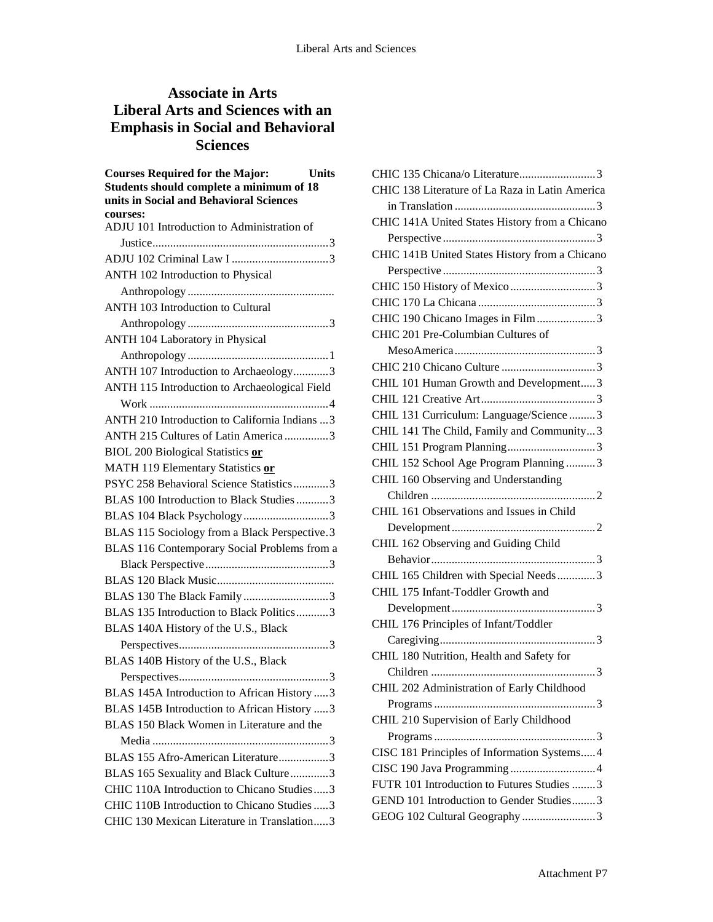# **Associate in Arts Liberal Arts and Sciences with an Emphasis in Social and Behavioral Sciences**

| <b>Courses Required for the Major:</b><br><b>Units</b><br>Students should complete a minimum of 18<br>units in Social and Behavioral Sciences<br>courses: |
|-----------------------------------------------------------------------------------------------------------------------------------------------------------|
| ADJU 101 Introduction to Administration of                                                                                                                |
|                                                                                                                                                           |
|                                                                                                                                                           |
| ANTH 102 Introduction to Physical                                                                                                                         |
|                                                                                                                                                           |
| ANTH 103 Introduction to Cultural                                                                                                                         |
|                                                                                                                                                           |
| ANTH 104 Laboratory in Physical                                                                                                                           |
|                                                                                                                                                           |
| ANTH 107 Introduction to Archaeology3                                                                                                                     |
| ANTH 115 Introduction to Archaeological Field                                                                                                             |
|                                                                                                                                                           |
| ANTH 210 Introduction to California Indians  3                                                                                                            |
| ANTH 215 Cultures of Latin America 3                                                                                                                      |
| <b>BIOL 200 Biological Statistics or</b>                                                                                                                  |
| MATH 119 Elementary Statistics or                                                                                                                         |
| PSYC 258 Behavioral Science Statistics3                                                                                                                   |
| BLAS 100 Introduction to Black Studies 3                                                                                                                  |
| BLAS 104 Black Psychology 3                                                                                                                               |
| BLAS 115 Sociology from a Black Perspective.3                                                                                                             |
| BLAS 116 Contemporary Social Problems from a                                                                                                              |
|                                                                                                                                                           |
|                                                                                                                                                           |
| BLAS 130 The Black Family3                                                                                                                                |
| BLAS 135 Introduction to Black Politics3                                                                                                                  |
| BLAS 140A History of the U.S., Black                                                                                                                      |
|                                                                                                                                                           |
| BLAS 140B History of the U.S., Black                                                                                                                      |
|                                                                                                                                                           |
| BLAS 145A Introduction to African History  3                                                                                                              |
| BLAS 145B Introduction to African History 3                                                                                                               |
| BLAS 150 Black Women in Literature and the                                                                                                                |
|                                                                                                                                                           |
| BLAS 155 Afro-American Literature3                                                                                                                        |
| BLAS 165 Sexuality and Black Culture3                                                                                                                     |
| CHIC 110A Introduction to Chicano Studies3                                                                                                                |
| CHIC 110B Introduction to Chicano Studies  3                                                                                                              |
| CHIC 130 Mexican Literature in Translation3                                                                                                               |

| CHIC 135 Chicana/o Literature3                  |
|-------------------------------------------------|
| CHIC 138 Literature of La Raza in Latin America |
|                                                 |
| CHIC 141A United States History from a Chicano  |
|                                                 |
| CHIC 141B United States History from a Chicano  |
|                                                 |
|                                                 |
|                                                 |
| CHIC 190 Chicano Images in Film3                |
| CHIC 201 Pre-Columbian Cultures of              |
|                                                 |
|                                                 |
| CHIL 101 Human Growth and Development3          |
|                                                 |
| CHIL 131 Curriculum: Language/Science  3        |
| CHIL 141 The Child, Family and Community3       |
|                                                 |
| CHIL 152 School Age Program Planning 3          |
| CHIL 160 Observing and Understanding            |
|                                                 |
| CHIL 161 Observations and Issues in Child       |
|                                                 |
| CHIL 162 Observing and Guiding Child            |
|                                                 |
| CHIL 165 Children with Special Needs3           |
| CHIL 175 Infant-Toddler Growth and              |
|                                                 |
| CHIL 176 Principles of Infant/Toddler           |
|                                                 |
| CHIL 180 Nutrition, Health and Safety for       |
|                                                 |
| CHIL 202 Administration of Early Childhood      |
|                                                 |
| CHIL 210 Supervision of Early Childhood         |
|                                                 |
| CISC 181 Principles of Information Systems 4    |
|                                                 |
| FUTR 101 Introduction to Futures Studies 3      |
| GEND 101 Introduction to Gender Studies3        |
|                                                 |
| GEOG 102 Cultural Geography 3                   |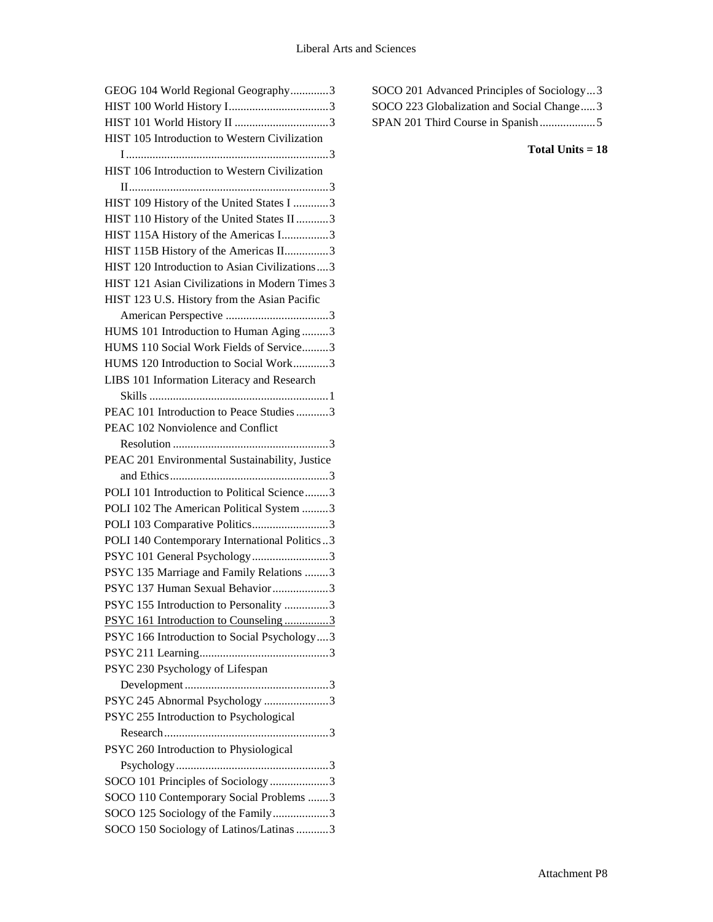| GEOG 104 World Regional Geography3             |
|------------------------------------------------|
|                                                |
|                                                |
| HIST 105 Introduction to Western Civilization  |
|                                                |
| HIST 106 Introduction to Western Civilization  |
|                                                |
| HIST 109 History of the United States I 3      |
| HIST 110 History of the United States II 3     |
| HIST 115A History of the Americas I3           |
| HIST 115B History of the Americas II3          |
| HIST 120 Introduction to Asian Civilizations3  |
| HIST 121 Asian Civilizations in Modern Times 3 |
| HIST 123 U.S. History from the Asian Pacific   |
|                                                |
| HUMS 101 Introduction to Human Aging 3         |
| HUMS 110 Social Work Fields of Service3        |
| HUMS 120 Introduction to Social Work3          |
| LIBS 101 Information Literacy and Research     |
|                                                |
| PEAC 101 Introduction to Peace Studies 3       |
| PEAC 102 Nonviolence and Conflict              |
|                                                |
| PEAC 201 Environmental Sustainability, Justice |
|                                                |
| POLI 101 Introduction to Political Science3    |
| POLI 102 The American Political System 3       |
| POLI 103 Comparative Politics3                 |
| POLI 140 Contemporary International Politics3  |
| PSYC 101 General Psychology3                   |
| PSYC 135 Marriage and Family Relations 3       |
| PSYC 137 Human Sexual Behavior3                |
| PSYC 155 Introduction to Personality 3         |
| PSYC 161 Introduction to Counseling3           |
| PSYC 166 Introduction to Social Psychology3    |
|                                                |
| PSYC 230 Psychology of Lifespan                |
|                                                |
| PSYC 245 Abnormal Psychology 3                 |
| PSYC 255 Introduction to Psychological         |
|                                                |
| PSYC 260 Introduction to Physiological         |
|                                                |
| SOCO 101 Principles of Sociology3              |
| SOCO 110 Contemporary Social Problems 3        |
| SOCO 125 Sociology of the Family3              |
|                                                |
| SOCO 150 Sociology of Latinos/Latinas 3        |

| SOCO 201 Advanced Principles of Sociology3 |
|--------------------------------------------|
| SOCO 223 Globalization and Social Change3  |
|                                            |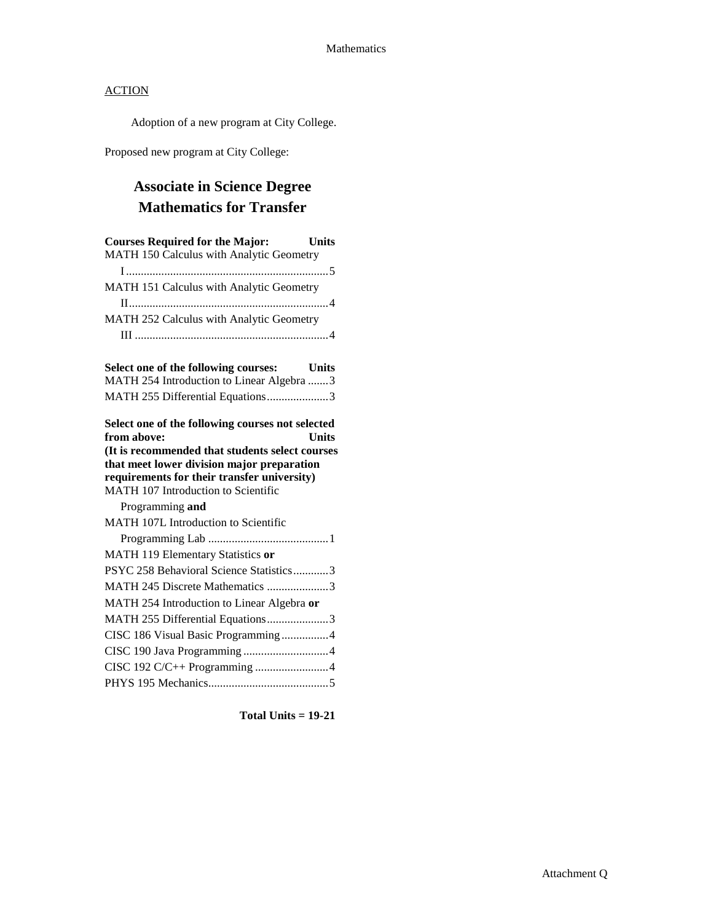Adoption of a new program at City College.

Proposed new program at City College:

# **Associate in Science Degree Mathematics for Transfer**

| <b>Courses Required for the Major:</b><br><b>Units</b>                                    |
|-------------------------------------------------------------------------------------------|
| MATH 150 Calculus with Analytic Geometry                                                  |
|                                                                                           |
| MATH 151 Calculus with Analytic Geometry                                                  |
|                                                                                           |
| MATH 252 Calculus with Analytic Geometry                                                  |
|                                                                                           |
| Select one of the following courses:<br>Units                                             |
| MATH 254 Introduction to Linear Algebra 3                                                 |
| MATH 255 Differential Equations3                                                          |
| Select one of the following courses not selected                                          |
| from above:<br>Units                                                                      |
| (It is recommended that students select courses                                           |
| that meet lower division major preparation<br>requirements for their transfer university) |
| MATH 107 Introduction to Scientific                                                       |
| Programming and                                                                           |
| MATH 107L Introduction to Scientific                                                      |
|                                                                                           |
| MATH 119 Elementary Statistics or                                                         |
| PSYC 258 Behavioral Science Statistics3                                                   |
| MATH 245 Discrete Mathematics 3                                                           |
| MATH 254 Introduction to Linear Algebra or                                                |
| MATH 255 Differential Equations3                                                          |
| CISC 186 Visual Basic Programming4                                                        |
|                                                                                           |
|                                                                                           |
|                                                                                           |

**Total Units = 19-21**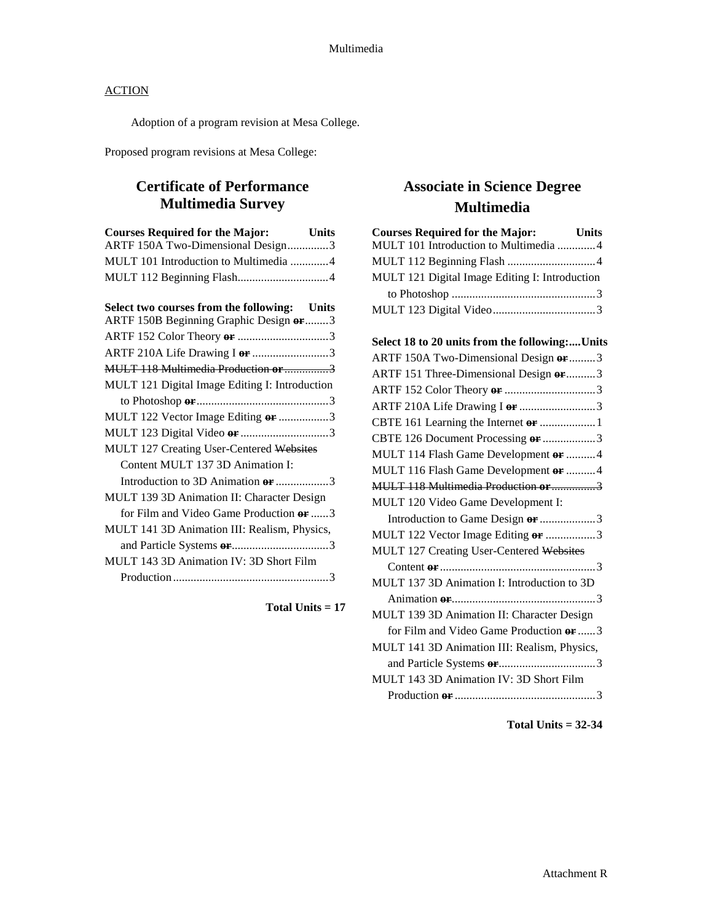Adoption of a program revision at Mesa College.

Proposed program revisions at Mesa College:

# **Certificate of Performance Multimedia Survey**

| <b>Courses Required for the Major:</b>                                                  | <b>Units</b> |
|-----------------------------------------------------------------------------------------|--------------|
| ARTF 150A Two-Dimensional Design3                                                       |              |
| MULT 101 Introduction to Multimedia 4                                                   |              |
|                                                                                         |              |
|                                                                                         |              |
| Select two courses from the following: Units<br>ARTF 150B Beginning Graphic Design or 3 |              |
|                                                                                         |              |
|                                                                                         |              |
| ARTF 210A Life Drawing I or 3                                                           |              |
| MULT 118 Multimedia Production or 3                                                     |              |
| MULT 121 Digital Image Editing I: Introduction                                          |              |
|                                                                                         |              |
| MULT 122 Vector Image Editing or 3                                                      |              |
| MULT 123 Digital Video or 3                                                             |              |
| MULT 127 Creating User-Centered Websites                                                |              |
| Content MULT 137 3D Animation I:                                                        |              |
| Introduction to 3D Animation or 3                                                       |              |
| MULT 139 3D Animation II: Character Design                                              |              |
| for Film and Video Game Production or 3                                                 |              |
| MULT 141 3D Animation III: Realism, Physics,                                            |              |
|                                                                                         |              |
| MULT 143 3D Animation IV: 3D Short Film                                                 |              |
|                                                                                         |              |

**Total Units = 17**

# **Associate in Science Degree Multimedia**

| <b>Courses Required for the Major:</b>         | <b>Units</b> |
|------------------------------------------------|--------------|
| MULT 101 Introduction to Multimedia 4          |              |
|                                                |              |
| MULT 121 Digital Image Editing I: Introduction |              |
|                                                |              |
|                                                |              |
|                                                |              |
| Select 18 to 20 units from the following:Units |              |
| ARTF 150A Two-Dimensional Design or 3          |              |
| ARTF 151 Three-Dimensional Design or 3         |              |
|                                                |              |
| ARTF 210A Life Drawing I or 3                  |              |
|                                                |              |
| CBTE 126 Document Processing or 3              |              |
| MULT 114 Flash Game Development or 4           |              |
| MULT 116 Flash Game Development or  4          |              |
| MULT 118 Multimedia Production or 3            |              |
| MULT 120 Video Game Development I:             |              |
| Introduction to Game Design or 3               |              |
| MULT 122 Vector Image Editing or 3             |              |
| MULT 127 Creating User-Centered Websites       |              |
|                                                |              |
| MULT 137 3D Animation I: Introduction to 3D    |              |
|                                                |              |
| MULT 139 3D Animation II: Character Design     |              |
| for Film and Video Game Production or  3       |              |
| MULT 141 3D Animation III: Realism, Physics,   |              |
|                                                |              |
| MULT 143 3D Animation IV: 3D Short Film        |              |
|                                                |              |
|                                                |              |

**Total Units = 32-34**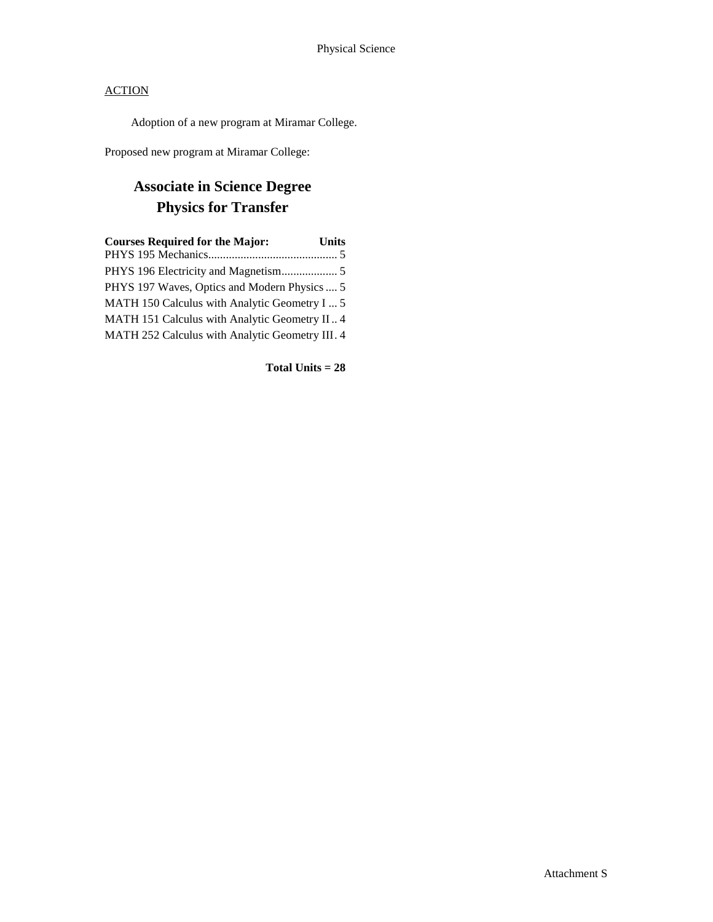Adoption of a new program at Miramar College.

Proposed new program at Miramar College:

# **Associate in Science Degree Physics for Transfer**

| <b>Courses Required for the Major:</b>          | <b>Units</b> |
|-------------------------------------------------|--------------|
|                                                 |              |
|                                                 |              |
| PHYS 197 Waves, Optics and Modern Physics  5    |              |
| MATH 150 Calculus with Analytic Geometry I  5   |              |
| MATH 151 Calculus with Analytic Geometry II 4   |              |
| MATH 252 Calculus with Analytic Geometry III. 4 |              |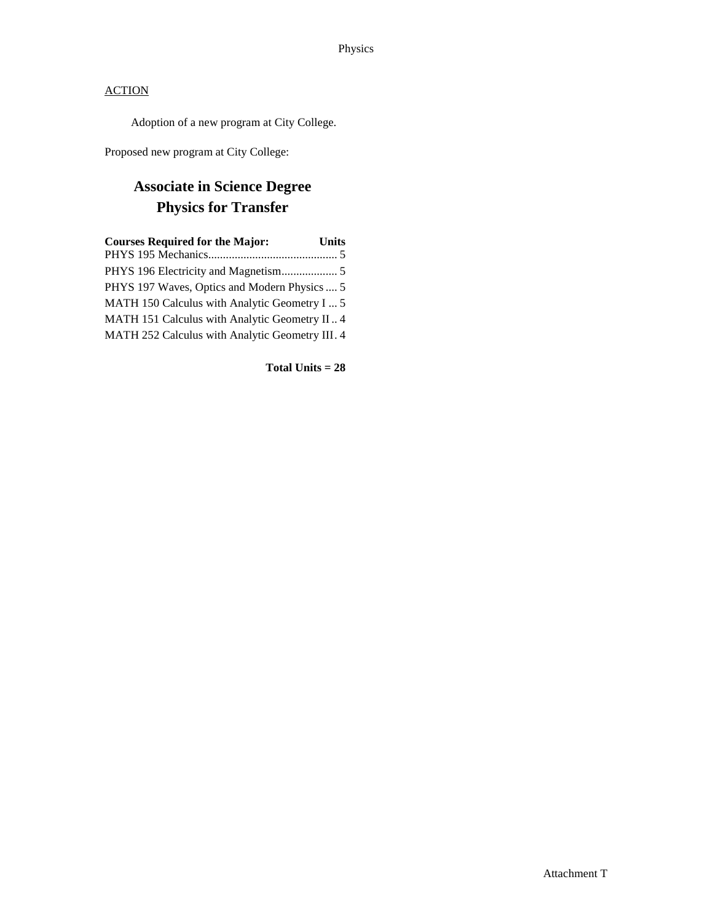Adoption of a new program at City College.

Proposed new program at City College:

# **Associate in Science Degree Physics for Transfer**

| <b>Courses Required for the Major:</b>          | <b>Units</b> |
|-------------------------------------------------|--------------|
|                                                 |              |
|                                                 |              |
| PHYS 197 Waves, Optics and Modern Physics  5    |              |
| MATH 150 Calculus with Analytic Geometry I  5   |              |
| MATH 151 Calculus with Analytic Geometry II 4   |              |
| MATH 252 Calculus with Analytic Geometry III. 4 |              |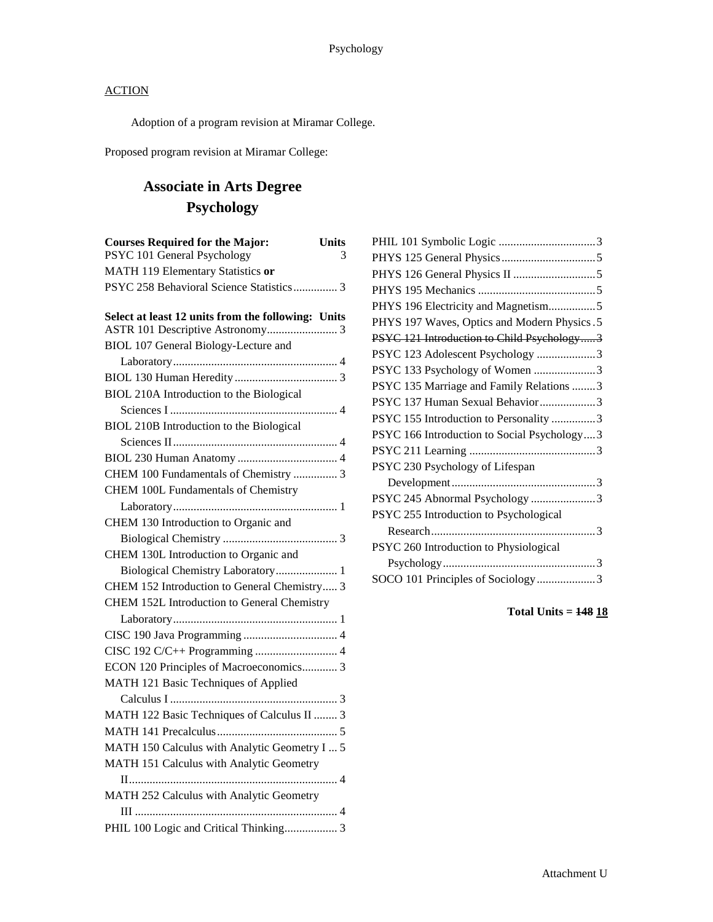Adoption of a program revision at Miramar College.

Proposed program revision at Miramar College:

# **Associate in Arts Degree Psychology**

| <b>Courses Required for the Major:</b>             | Units |
|----------------------------------------------------|-------|
| PSYC 101 General Psychology                        | 3     |
| MATH 119 Elementary Statistics or                  |       |
| PSYC 258 Behavioral Science Statistics 3           |       |
| Select at least 12 units from the following: Units |       |
| BIOL 107 General Biology-Lecture and               |       |
|                                                    |       |
|                                                    |       |
| BIOL 210A Introduction to the Biological           |       |
|                                                    |       |
| BIOL 210B Introduction to the Biological           |       |
|                                                    |       |
|                                                    |       |
| CHEM 100 Fundamentals of Chemistry  3              |       |
| <b>CHEM 100L Fundamentals of Chemistry</b>         |       |
|                                                    |       |
| CHEM 130 Introduction to Organic and               |       |
|                                                    |       |
| CHEM 130L Introduction to Organic and              |       |
| Biological Chemistry Laboratory 1                  |       |
| CHEM 152 Introduction to General Chemistry 3       |       |
| CHEM 152L Introduction to General Chemistry        |       |
|                                                    |       |
|                                                    |       |
|                                                    |       |
| ECON 120 Principles of Macroeconomics 3            |       |
| MATH 121 Basic Techniques of Applied               |       |
|                                                    |       |
| MATH 122 Basic Techniques of Calculus II  3        |       |
|                                                    |       |
| MATH 150 Calculus with Analytic Geometry I  5      |       |
| MATH 151 Calculus with Analytic Geometry           |       |
|                                                    |       |
| MATH 252 Calculus with Analytic Geometry           |       |
|                                                    |       |
| PHIL 100 Logic and Critical Thinking 3             |       |

| PHYS 196 Electricity and Magnetism5          |
|----------------------------------------------|
| PHYS 197 Waves, Optics and Modern Physics. 5 |
| PSYC 121 Introduction to Child Psychology3   |
| PSYC 123 Adolescent Psychology 3             |
| PSYC 133 Psychology of Women 3               |
| PSYC 135 Marriage and Family Relations 3     |
| PSYC 137 Human Sexual Behavior3              |
| PSYC 155 Introduction to Personality 3       |
| PSYC 166 Introduction to Social Psychology3  |
|                                              |
| PSYC 230 Psychology of Lifespan              |
|                                              |
| PSYC 245 Abnormal Psychology 3               |
| PSYC 255 Introduction to Psychological       |
|                                              |
| PSYC 260 Introduction to Physiological       |
|                                              |
| SOCO 101 Principles of Sociology3            |
|                                              |

**Total Units = 148 18**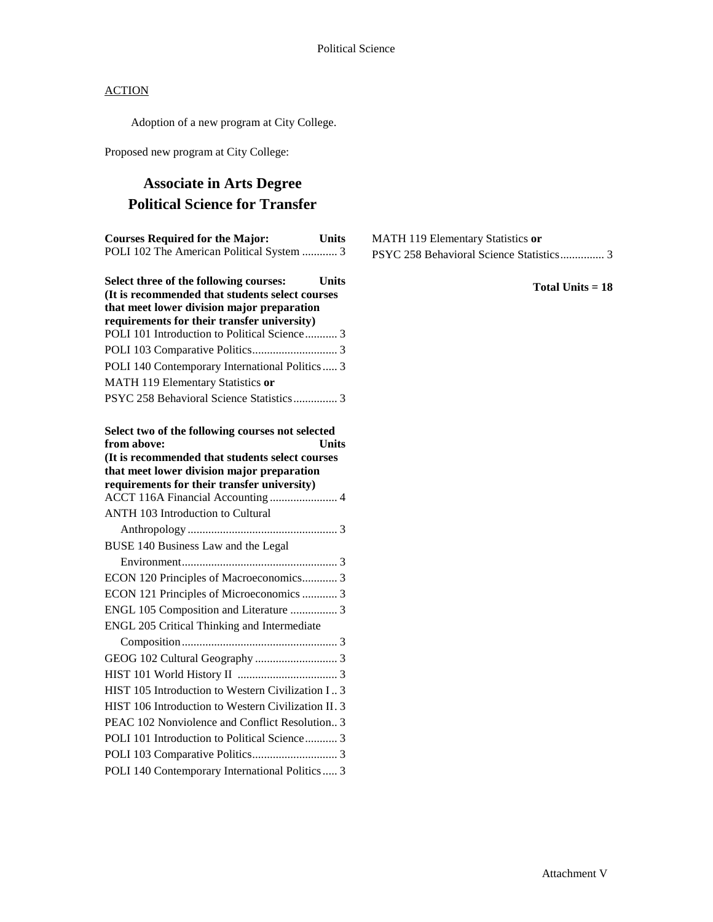Adoption of a new program at City College.

Proposed new program at City College:

# **Associate in Arts Degree Political Science for Transfer**

| <b>Courses Required for the Major:</b>                                                      | <b>Units</b> |
|---------------------------------------------------------------------------------------------|--------------|
| POLI 102 The American Political System  3                                                   |              |
| Select three of the following courses:                                                      | <b>Units</b> |
| (It is recommended that students select courses                                             |              |
| that meet lower division major preparation                                                  |              |
| requirements for their transfer university)<br>POLI 101 Introduction to Political Science 3 |              |
|                                                                                             |              |
|                                                                                             |              |
| POLI 140 Contemporary International Politics  3                                             |              |
| MATH 119 Elementary Statistics or                                                           |              |
| PSYC 258 Behavioral Science Statistics 3                                                    |              |
| Select two of the following courses not selected                                            |              |
| from above:                                                                                 | <b>Units</b> |
| (It is recommended that students select courses                                             |              |
| that meet lower division major preparation<br>requirements for their transfer university)   |              |
|                                                                                             |              |
| <b>ANTH 103 Introduction to Cultural</b>                                                    |              |
|                                                                                             |              |
| BUSE 140 Business Law and the Legal                                                         |              |
|                                                                                             |              |
| ECON 120 Principles of Macroeconomics 3                                                     |              |
| ECON 121 Principles of Microeconomics  3                                                    |              |
| ENGL 105 Composition and Literature  3                                                      |              |
| ENGL 205 Critical Thinking and Intermediate                                                 |              |
|                                                                                             |              |
|                                                                                             |              |
|                                                                                             |              |
| HIST 105 Introduction to Western Civilization I 3                                           |              |
| HIST 106 Introduction to Western Civilization II. 3                                         |              |
| PEAC 102 Nonviolence and Conflict Resolution 3                                              |              |
| POLI 101 Introduction to Political Science 3                                                |              |
|                                                                                             |              |
| POLI 140 Contemporary International Politics  3                                             |              |
|                                                                                             |              |

MATH 119 Elementary Statistics **or** PSYC 258 Behavioral Science Statistics............... 3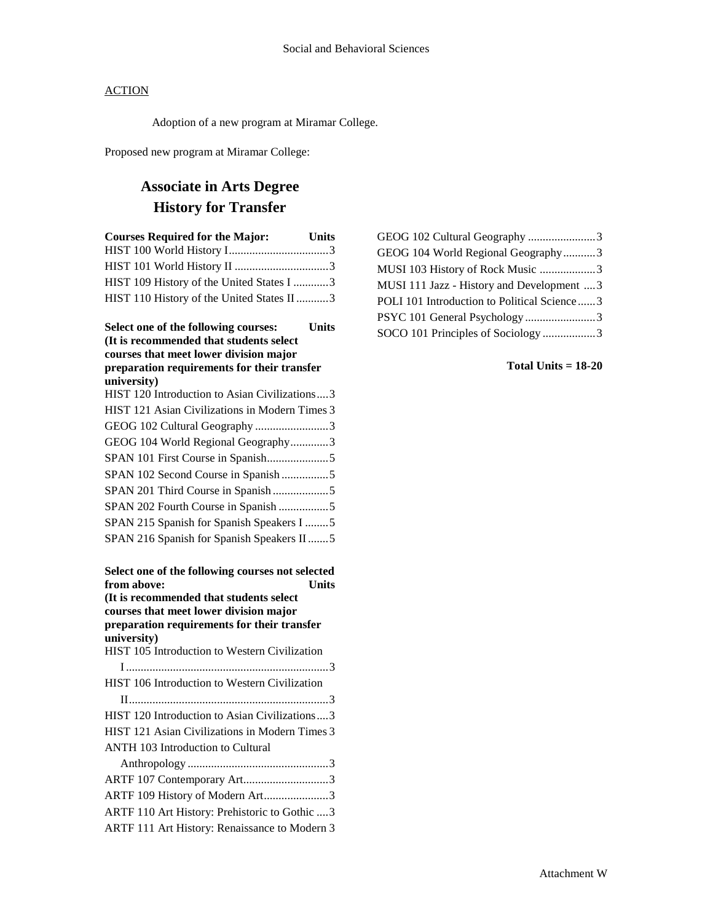Adoption of a new program at Miramar College.

Proposed new program at Miramar College:

# **Associate in Arts Degree History for Transfer**

| <b>Courses Required for the Major:</b><br>Units                                                                                           |
|-------------------------------------------------------------------------------------------------------------------------------------------|
|                                                                                                                                           |
|                                                                                                                                           |
| HIST 109 History of the United States I 3                                                                                                 |
| HIST 110 History of the United States II 3                                                                                                |
| Select one of the following courses:<br><b>Units</b><br>(It is recommended that students select<br>courses that meet lower division major |
| preparation requirements for their transfer                                                                                               |
| university)                                                                                                                               |
| HIST 120 Introduction to Asian Civilizations3                                                                                             |
| HIST 121 Asian Civilizations in Modern Times 3                                                                                            |
| GEOG 102 Cultural Geography 3                                                                                                             |
| GEOG 104 World Regional Geography3                                                                                                        |
|                                                                                                                                           |
| SPAN 102 Second Course in Spanish 5                                                                                                       |
| SPAN 201 Third Course in Spanish5                                                                                                         |
| SPAN 202 Fourth Course in Spanish 5                                                                                                       |
| SPAN 215 Spanish for Spanish Speakers I 5                                                                                                 |
| SPAN 216 Spanish for Spanish Speakers II5                                                                                                 |
| Select one of the following courses not selected<br>from above:<br><b>Units</b><br>(It is recommended that students select                |
| courses that meet lower division major                                                                                                    |
| preparation requirements for their transfer                                                                                               |
| university)                                                                                                                               |
| HIST 105 Introduction to Western Civilization                                                                                             |
|                                                                                                                                           |
| HIST 106 Introduction to Western Civilization                                                                                             |
|                                                                                                                                           |
| HIST 120 Introduction to Asian Civilizations3                                                                                             |
| HIST 121 Asian Civilizations in Modern Times 3                                                                                            |
| ANTH 103 Introduction to Cultural                                                                                                         |
|                                                                                                                                           |
| ARTF 107 Contemporary Art3                                                                                                                |
| ARTF 109 History of Modern Art3                                                                                                           |
| ARTF 110 Art History: Prehistoric to Gothic  3                                                                                            |
| ARTF 111 Art History: Renaissance to Modern 3                                                                                             |

| GEOG 102 Cultural Geography 3               |  |
|---------------------------------------------|--|
| GEOG 104 World Regional Geography3          |  |
| MUSI 103 History of Rock Music 3            |  |
| MUSI 111 Jazz - History and Development  3  |  |
| POLI 101 Introduction to Political Science3 |  |
| PSYC 101 General Psychology 3               |  |
| SOCO 101 Principles of Sociology 3          |  |
|                                             |  |

## **Total Units = 18-20**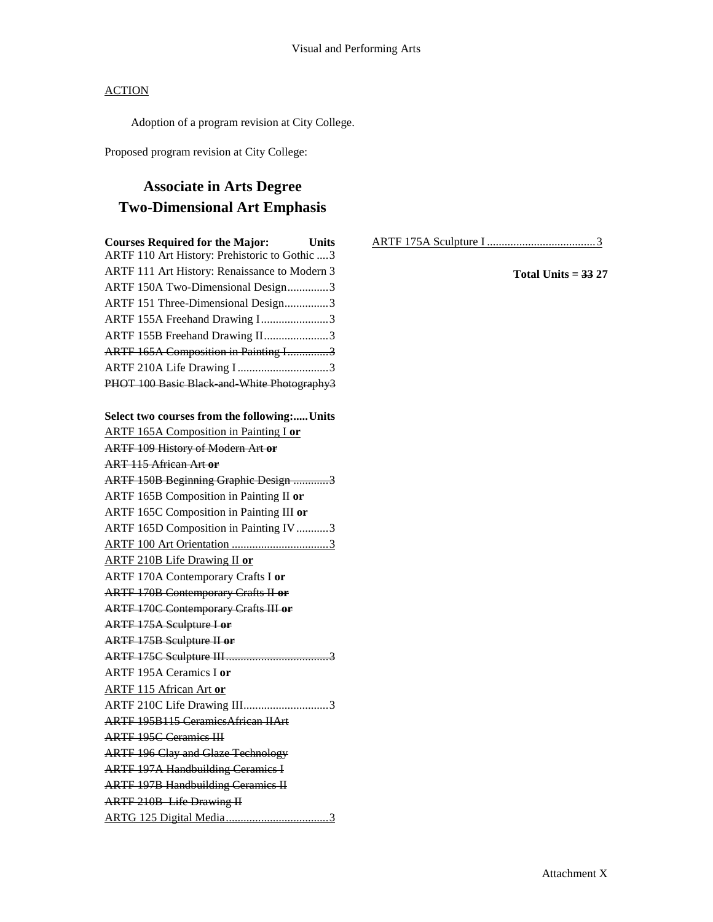Adoption of a program revision at City College.

Proposed program revision at City College:

# **Associate in Arts Degree Two-Dimensional Art Emphasis**

| <b>Courses Required for the Major:</b>                                                          | <b>Units</b> |
|-------------------------------------------------------------------------------------------------|--------------|
| ARTF 110 Art History: Prehistoric to Gothic  3<br>ARTF 111 Art History: Renaissance to Modern 3 |              |
| ARTF 150A Two-Dimensional Design3                                                               |              |
| ARTF 151 Three-Dimensional Design3                                                              |              |
| ARTF 155A Freehand Drawing I3                                                                   |              |
| ARTF 155B Freehand Drawing II3                                                                  |              |
| ARTF 165A Composition in Painting I3                                                            |              |
| ARTF 210A Life Drawing I3                                                                       |              |
| PHOT 100 Basic Black and White Photography3                                                     |              |

# **Select two courses from the following:.....Units** ARTF 165A Composition in Painting I **or** ARTF 109 History of Modern Art **or** ART 115 African Art **or** ARTF 150B Beginning Graphic Design ............3 ARTF 165B Composition in Painting II **or** ARTF 165C Composition in Painting III **or** ARTF 165D Composition in Painting IV...........3 ARTF 100 Art Orientation .................................3 ARTF 210B Life Drawing II **or** ARTF 170A Contemporary Crafts I **or** ARTF 170B Contemporary Crafts II **or** ARTF 170C Contemporary Crafts III **or** ARTF 175A Sculpture I **or** ARTF 175B Sculpture II **or** ARTF 175C Sculpture III...................................3 ARTF 195A Ceramics I **or** ARTF 115 African Art **or** ARTF 210C Life Drawing III.............................3 ARTF 195B115 CeramicsAfrican IIArt ARTF 195C Ceramics III ARTF 196 Clay and Glaze Technology ARTF 197A Handbuilding Ceramics I ARTF 197B Handbuilding Ceramics II ARTF 210B Life Drawing II ARTG 125 Digital Media...................................3

ARTF 175A Sculpture I .....................................3

### **Total Units = 33 27**